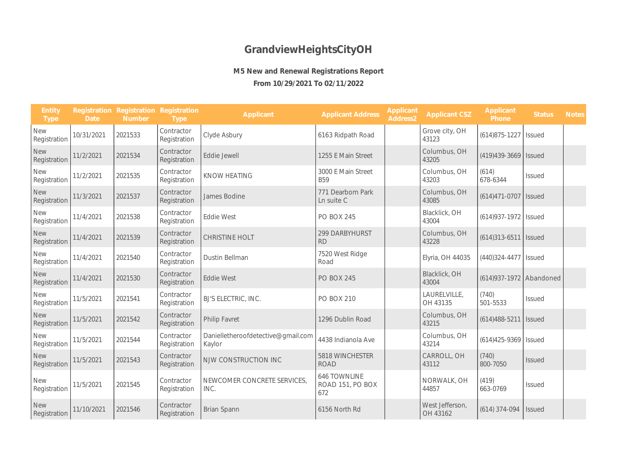| Entity<br><b>Type</b>      | <b>Date</b> | <b>Number</b> | Registration Registration Registration<br><b>Type</b> | Applicant                                    | <b>Applicant Address</b>                       | Applicant<br>Address2 | <b>Applicant CSZ</b>        | Applicant<br>Phone       | <b>Status</b> | Notes |
|----------------------------|-------------|---------------|-------------------------------------------------------|----------------------------------------------|------------------------------------------------|-----------------------|-----------------------------|--------------------------|---------------|-------|
| <b>New</b><br>Registration | 10/31/2021  | 2021533       | Contractor<br>Registration                            | Clyde Asbury                                 | 6163 Ridpath Road                              |                       | Grove city, OH<br>43123     | $(614)875 - 1227$        | <b>Issued</b> |       |
| New<br>Registration        | 11/2/2021   | 2021534       | Contractor<br>Registration                            | Eddie Jewell                                 | 1255 E Main Street                             |                       | Columbus, OH<br>43205       | (419)439-3669 Issued     |               |       |
| <b>New</b><br>Registration | 11/2/2021   | 2021535       | Contractor<br>Registration                            | <b>KNOW HEATING</b>                          | 3000 E Main Street<br><b>B59</b>               |                       | Columbus, OH<br>43203       | (614)<br>678-6344        | <b>Issued</b> |       |
| <b>New</b><br>Registration | 11/3/2021   | 2021537       | Contractor<br>Registration                            | James Bodine                                 | 771 Dearborn Park<br>Ln suite C                |                       | Columbus, OH<br>43085       | $(614)471 - 0707$        | Issued        |       |
| <b>New</b><br>Registration | 11/4/2021   | 2021538       | Contractor<br>Registration                            | <b>Eddie West</b>                            | <b>PO BOX 245</b>                              |                       | Blacklick, OH<br>43004      | (614) 937-1972 Issued    |               |       |
| <b>New</b><br>Registration | 11/4/2021   | 2021539       | Contractor<br>Registration                            | <b>CHRISTINE HOLT</b>                        | <b>299 DARBYHURST</b><br><b>RD</b>             |                       | Columbus, OH<br>43228       | (614) 313-6511 Issued    |               |       |
| <b>New</b><br>Registration | 11/4/2021   | 2021540       | Contractor<br>Registration                            | <b>Dustin Bellman</b>                        | 7520 West Ridge<br>Road                        |                       | Elyria, OH 44035            | (440) 324-4477   Issued  |               |       |
| <b>New</b><br>Registration | 11/4/2021   | 2021530       | Contractor<br>Registration                            | <b>Eddie West</b>                            | <b>PO BOX 245</b>                              |                       | Blacklick, OH<br>43004      | (614) 937-1972 Abandoned |               |       |
| <b>New</b><br>Registration | 11/5/2021   | 2021541       | Contractor<br>Registration                            | <b>BJ'S ELECTRIC. INC.</b>                   | <b>PO BOX 210</b>                              |                       | LAURELVILLE,<br>OH 43135    | (740)<br>501-5533        | <b>Issued</b> |       |
| <b>New</b><br>Registration | 11/5/2021   | 2021542       | Contractor<br>Registration                            | <b>Philip Favret</b>                         | 1296 Dublin Road                               |                       | Columbus, OH<br>43215       | $(614)488 - 5211$        | <b>Issued</b> |       |
| <b>New</b><br>Registration | 11/5/2021   | 2021544       | Contractor<br>Registration                            | Danielletheroofdetective@gmail.com<br>Kaylor | 4438 Indianola Ave                             |                       | Columbus, OH<br>43214       | (614)425-9369 Issued     |               |       |
| <b>New</b><br>Registration | 11/5/2021   | 2021543       | Contractor<br>Registration                            | NJW CONSTRUCTION INC                         | 5818 WINCHESTER<br><b>ROAD</b>                 |                       | CARROLL, OH<br>43112        | (740)<br>800-7050        | <b>Issued</b> |       |
| <b>New</b><br>Registration | 11/5/2021   | 2021545       | Contractor<br>Registration                            | NEWCOMER CONCRETE SERVICES,<br>INC.          | <b>646 TOWNLINE</b><br>ROAD 151, PO BOX<br>672 |                       | NORWALK, OH<br>44857        | (419)<br>663-0769        | <b>Issued</b> |       |
| <b>New</b><br>Registration | 11/10/2021  | 2021546       | Contractor<br>Registration                            | <b>Brian Spann</b>                           | 6156 North Rd                                  |                       | West Jefferson,<br>OH 43162 | $(614)$ 374-094          | <b>Issued</b> |       |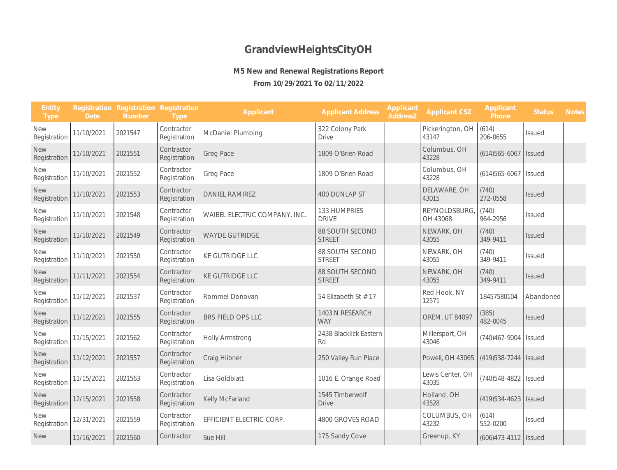| Entity<br><b>Type</b>      | <b>Date</b> | <b>Number</b> | Registration Registration Registration<br><b>Type</b> | Applicant                     | <b>Applicant Address</b>                | Applicant<br>Address <sub>2</sub> | <b>Applicant CSZ</b>      | Applicant<br>Phone   | <b>Status</b> | <b>Notes</b> |
|----------------------------|-------------|---------------|-------------------------------------------------------|-------------------------------|-----------------------------------------|-----------------------------------|---------------------------|----------------------|---------------|--------------|
| <b>New</b><br>Registration | 11/10/2021  | 2021547       | Contractor<br>Registration                            | McDaniel Plumbing             | 322 Colony Park<br><b>Drive</b>         |                                   | Pickerington, OH<br>43147 | (614)<br>206-0655    | Issued        |              |
| <b>New</b><br>Registration | 11/10/2021  | 2021551       | Contractor<br>Registration                            | <b>Greg Pace</b>              | 1809 O'Brien Road                       |                                   | Columbus, OH<br>43228     | $(614)565 - 6067$    | <b>Issued</b> |              |
| <b>New</b><br>Registration | 11/10/2021  | 2021552       | Contractor<br>Registration                            | Greg Pace                     | 1809 O'Brien Road                       |                                   | Columbus, OH<br>43228     | $(614)565 - 6067$    | Issued        |              |
| <b>New</b><br>Registration | 11/10/2021  | 2021553       | Contractor<br>Registration                            | <b>DANIEL RAMIREZ</b>         | 400 DUNLAP ST                           |                                   | DELAWARE, OH<br>43015     | (740)<br>272-0558    | <b>Issued</b> |              |
| <b>New</b><br>Registration | 11/10/2021  | 2021548       | Contractor<br>Registration                            | WAIBEL ELECTRIC COMPANY, INC. | 133 HUMPRIES<br><b>DRIVE</b>            |                                   | REYNOLDSBURG,<br>OH 43068 | (740)<br>964-2956    | <b>Issued</b> |              |
| <b>New</b><br>Registration | 11/10/2021  | 2021549       | Contractor<br>Registration                            | <b>WAYDE GUTRIDGE</b>         | 88 SOUTH SECOND<br><b>STREET</b>        |                                   | NEWARK, OH<br>43055       | (740)<br>349-9411    | <b>Issued</b> |              |
| <b>New</b><br>Registration | 11/10/2021  | 2021550       | Contractor<br>Registration                            | <b>KE GUTRIDGE LLC</b>        | <b>88 SOUTH SECOND</b><br><b>STREET</b> |                                   | NEWARK, OH<br>43055       | (740)<br>349-9411    | <b>Issued</b> |              |
| <b>New</b><br>Registration | 11/11/2021  | 2021554       | Contractor<br>Registration                            | <b>KE GUTRIDGE LLC</b>        | 88 SOUTH SECOND<br><b>STREET</b>        |                                   | NEWARK, OH<br>43055       | (740)<br>349-9411    | <b>Issued</b> |              |
| <b>New</b><br>Registration | 11/12/2021  | 2021537       | Contractor<br>Registration                            | Rommel Donovan                | 54 Elizabeth St # 17                    |                                   | Red Hook, NY<br>12571     | 18457580104          | Abandoned     |              |
| <b>New</b><br>Registration | 11/12/2021  | 2021555       | Contractor<br>Registration                            | BRS FIELD OPS LLC             | 1403 N RESEARCH<br><b>WAY</b>           |                                   | OREM, UT 84097            | (385)<br>482-0045    | <b>Issued</b> |              |
| <b>New</b><br>Registration | 11/15/2021  | 2021562       | Contractor<br>Registration                            | <b>Holly Armstrong</b>        | 2438 Blacklick Eastern<br>Rd            |                                   | Millersport, OH<br>43046  | $(740)467 - 9004$    | Issued        |              |
| <b>New</b><br>Registration | 11/12/2021  | 2021557       | Contractor<br>Registration                            | <b>Craig Hiibner</b>          | 250 Valley Run Place                    |                                   | Powell, OH 43065          | (419) 538 - 7244     | <b>Issued</b> |              |
| <b>New</b><br>Registration | 11/15/2021  | 2021563       | Contractor<br>Registration                            | Lisa Goldblatt                | 1016 E. Orange Road                     |                                   | Lewis Center, OH<br>43035 | (740)548-4822        | Issued        |              |
| <b>New</b><br>Registration | 12/15/2021  | 2021558       | Contractor<br>Registration                            | Kelly McFarland               | 1545 Timberwolf<br><b>Drive</b>         |                                   | Holland, OH<br>43528      | $(419)534-4623$      | <b>Issued</b> |              |
| <b>New</b><br>Registration | 12/31/2021  | 2021559       | Contractor<br>Registration                            | EFFICIENT ELECTRIC CORP.      | 4800 GROVES ROAD                        |                                   | COLUMBUS, OH<br>43232     | (614)<br>552-0200    | <b>Issued</b> |              |
| <b>New</b>                 | 11/16/2021  | 2021560       | Contractor                                            | Sue Hill                      | 175 Sandy Cove                          |                                   | Greenup, KY               | (606)473-4112 Issued |               |              |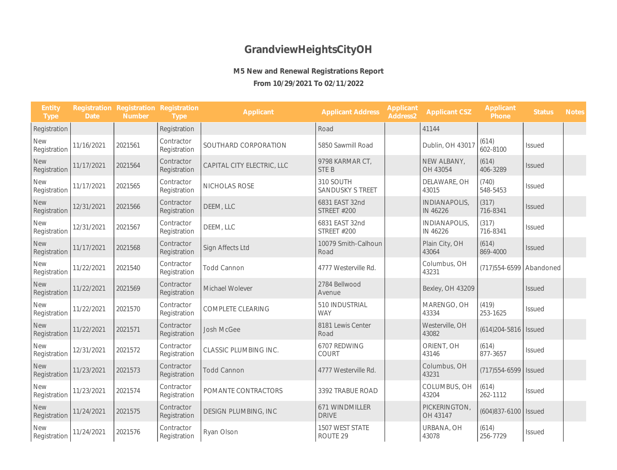| Entity<br><b>Type</b>      | <b>Date</b> | <b>Number</b> | Registration Registration Registration<br><b>Type</b> | Applicant                   | <b>Applicant Address</b>             | Applicant<br>Address <sub>2</sub> | <b>Applicant CSZ</b>            | Applicant<br>Phone | <b>Status</b> | Notes |
|----------------------------|-------------|---------------|-------------------------------------------------------|-----------------------------|--------------------------------------|-----------------------------------|---------------------------------|--------------------|---------------|-------|
| Registration               |             |               | Registration                                          |                             | Road                                 |                                   | 41144                           |                    |               |       |
| <b>New</b><br>Registration | 11/16/2021  | 2021561       | Contractor<br>Registration                            | SOUTHARD CORPORATION        | 5850 Sawmill Road                    |                                   | Dublin, OH 43017                | (614)<br>602-8100  | <b>Issued</b> |       |
| New<br>Registration        | 11/17/2021  | 2021564       | Contractor<br>Registration                            | CAPITAL CITY ELECTRIC, LLC  | 9798 KARMAR CT,<br><b>STEB</b>       |                                   | NEW ALBANY,<br>OH 43054         | (614)<br>406-3289  | <b>Issued</b> |       |
| <b>New</b><br>Registration | 11/17/2021  | 2021565       | Contractor<br>Registration                            | <b>NICHOLAS ROSE</b>        | 310 SOUTH<br>SANDUSKY S TREET        |                                   | DELAWARE, OH<br>43015           | (740)<br>548-5453  | <b>Issued</b> |       |
| <b>New</b><br>Registration | 12/31/2021  | 2021566       | Contractor<br>Registration                            | DEEM, LLC                   | 6831 EAST 32nd<br><b>STREET #200</b> |                                   | <b>INDIANAPOLIS</b><br>IN 46226 | (317)<br>716-8341  | <b>Issued</b> |       |
| <b>New</b><br>Registration | 12/31/2021  | 2021567       | Contractor<br>Registration                            | DEEM, LLC                   | 6831 EAST 32nd<br><b>STREET #200</b> |                                   | <b>INDIANAPOLIS</b><br>IN 46226 | (317)<br>716-8341  | <b>Issued</b> |       |
| <b>New</b><br>Registration | 11/17/2021  | 2021568       | Contractor<br>Registration                            | Sign Affects Ltd            | 10079 Smith-Calhoun<br>Road          |                                   | Plain City, OH<br>43064         | (614)<br>869-4000  | <b>Issued</b> |       |
| <b>New</b><br>Registration | 11/22/2021  | 2021540       | Contractor<br>Registration                            | <b>Todd Cannon</b>          | 4777 Westerville Rd.                 |                                   | Columbus, OH<br>43231           | $(717)554 - 6599$  | Abandoned     |       |
| <b>New</b><br>Registration | 11/22/2021  | 2021569       | Contractor<br>Registration                            | Michael Wolever             | 2784 Bellwood<br>Avenue              |                                   | <b>Bexley, OH 43209</b>         |                    | <b>Issued</b> |       |
| <b>New</b><br>Registration | 11/22/2021  | 2021570       | Contractor<br>Registration                            | <b>COMPLETE CLEARING</b>    | 510 INDUSTRIAL<br><b>WAY</b>         |                                   | MARENGO, OH<br>43334            | (419)<br>253-1625  | <b>Issued</b> |       |
| <b>New</b><br>Registration | 11/22/2021  | 2021571       | Contractor<br>Registration                            | Josh McGee                  | 8181 Lewis Center<br>Road            |                                   | Westerville, OH<br>43082        | $(614)204 - 5816$  | <b>Issued</b> |       |
| <b>New</b><br>Registration | 12/31/2021  | 2021572       | Contractor<br>Registration                            | CLASSIC PLUMBING INC.       | 6707 REDWING<br><b>COURT</b>         |                                   | ORIENT, OH<br>43146             | (614)<br>877-3657  | Issued        |       |
| <b>New</b><br>Registration | 11/23/2021  | 2021573       | Contractor<br>Registration                            | <b>Todd Cannon</b>          | 4777 Westerville Rd.                 |                                   | Columbus, OH<br>43231           | $(717)554 - 6599$  | <b>Issued</b> |       |
| <b>New</b><br>Registration | 11/23/2021  | 2021574       | Contractor<br>Registration                            | POMANTE CONTRACTORS         | 3392 TRABUE ROAD                     |                                   | COLUMBUS, OH<br>43204           | (614)<br>262-1112  | <b>Issued</b> |       |
| <b>New</b><br>Registration | 11/24/2021  | 2021575       | Contractor<br>Registration                            | <b>DESIGN PLUMBING, INC</b> | 671 WINDMILLER<br><b>DRIVE</b>       |                                   | PICKERINGTON.<br>OH 43147       | $(604)837 - 6100$  | <b>Issued</b> |       |
| <b>New</b><br>Registration | 11/24/2021  | 2021576       | Contractor<br>Registration                            | Ryan Olson                  | 1507 WEST STATE<br>ROUTE 29          |                                   | URBANA, OH<br>43078             | (614)<br>256-7729  | <b>Issued</b> |       |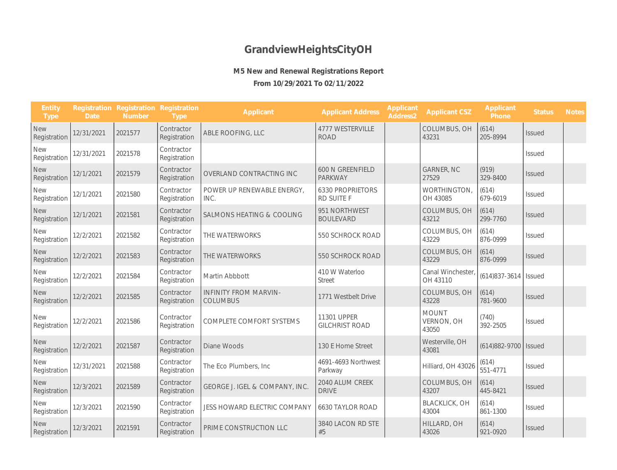| Entity<br><b>Type</b>      | <b>Date</b> | Registration Registration Registration<br><b>Number</b> | <b>Type</b>                | Applicant                                | <b>Applicant Address</b>              | Applicant<br>Address <sub>2</sub> | <b>Applicant CSZ</b>                | Applicant<br>Phone | <b>Status</b> | <b>Notes</b> |
|----------------------------|-------------|---------------------------------------------------------|----------------------------|------------------------------------------|---------------------------------------|-----------------------------------|-------------------------------------|--------------------|---------------|--------------|
| New<br>Registration        | 12/31/2021  | 2021577                                                 | Contractor<br>Registration | ABLE ROOFING, LLC                        | 4777 WESTERVILLE<br><b>ROAD</b>       |                                   | COLUMBUS, OH<br>43231               | (614)<br>205-8994  | Issued        |              |
| <b>New</b><br>Registration | 12/31/2021  | 2021578                                                 | Contractor<br>Registration |                                          |                                       |                                   |                                     |                    | Issued        |              |
| <b>New</b><br>Registration | 12/1/2021   | 2021579                                                 | Contractor<br>Registration | OVERLAND CONTRACTING INC                 | 600 N GREENFIELD<br><b>PARKWAY</b>    |                                   | <b>GARNER, NC</b><br>27529          | (919)<br>329-8400  | <b>Issued</b> |              |
| <b>New</b><br>Registration | 12/1/2021   | 2021580                                                 | Contractor<br>Registration | POWER UP RENEWABLE ENERGY,<br>INC.       | <b>6330 PROPRIETORS</b><br>RD SUITE F |                                   | <b>WORTHINGTON</b><br>OH 43085      | (614)<br>679-6019  | Issued        |              |
| <b>New</b><br>Registration | 12/1/2021   | 2021581                                                 | Contractor<br>Registration | <b>SALMONS HEATING &amp; COOLING</b>     | 951 NORTHWEST<br><b>BOULEVARD</b>     |                                   | <b>COLUMBUS, OH</b><br>43212        | (614)<br>299-7760  | Issued        |              |
| <b>New</b><br>Registration | 12/2/2021   | 2021582                                                 | Contractor<br>Registration | THE WATERWORKS                           | <b>550 SCHROCK ROAD</b>               |                                   | COLUMBUS, OH<br>43229               | (614)<br>876-0999  | Issued        |              |
| <b>New</b><br>Registration | 12/2/2021   | 2021583                                                 | Contractor<br>Registration | THE WATERWORKS                           | <b>550 SCHROCK ROAD</b>               |                                   | COLUMBUS, OH<br>43229               | (614)<br>876-0999  | Issued        |              |
| <b>New</b><br>Registration | 12/2/2021   | 2021584                                                 | Contractor<br>Registration | Martin Abbbott                           | 410 W Waterloo<br><b>Street</b>       |                                   | Canal Winchester<br>OH 43110        | $(614)837 - 3614$  | Issued        |              |
| <b>New</b><br>Registration | 12/2/2021   | 2021585                                                 | Contractor<br>Registration | <b>INFINITY FROM MARVIN-</b><br>COLUMBUS | 1771 Westbelt Drive                   |                                   | COLUMBUS, OH<br>43228               | (614)<br>781-9600  | Issued        |              |
| <b>New</b><br>Registration | 12/2/2021   | 2021586                                                 | Contractor<br>Registration | COMPLETE COMFORT SYSTEMS                 | 11301 UPPER<br><b>GILCHRIST ROAD</b>  |                                   | <b>MOUNT</b><br>VERNON, OH<br>43050 | (740)<br>392-2505  | Issued        |              |
| <b>New</b><br>Registration | 12/2/2021   | 2021587                                                 | Contractor<br>Registration | Diane Woods                              | 130 E Home Street                     |                                   | Westerville, OH<br>43081            | $(614)882 - 9700$  | <b>Issued</b> |              |
| <b>New</b><br>Registration | 12/31/2021  | 2021588                                                 | Contractor<br>Registration | The Eco Plumbers, Inc.                   | 4691-4693 Northwest<br>Parkway        |                                   | Hilliard, OH 43026                  | (614)<br>551-4771  | Issued        |              |
| <b>New</b><br>Registration | 12/3/2021   | 2021589                                                 | Contractor<br>Registration | GEORGE J. IGEL & COMPANY, INC.           | 2040 ALUM CREEK<br><b>DRIVE</b>       |                                   | COLUMBUS, OH<br>43207               | (614)<br>445-8421  | Issued        |              |
| <b>New</b><br>Registration | 12/3/2021   | 2021590                                                 | Contractor<br>Registration | JESS HOWARD ELECTRIC COMPANY             | 6630 TAYLOR ROAD                      |                                   | <b>BLACKLICK, OH</b><br>43004       | (614)<br>861-1300  | Issued        |              |
| <b>New</b><br>Registration | 12/3/2021   | 2021591                                                 | Contractor<br>Registration | PRIME CONSTRUCTION LLC                   | 3840 LACON RD STE<br>#5               |                                   | HILLARD, OH<br>43026                | (614)<br>921-0920  | <b>Issued</b> |              |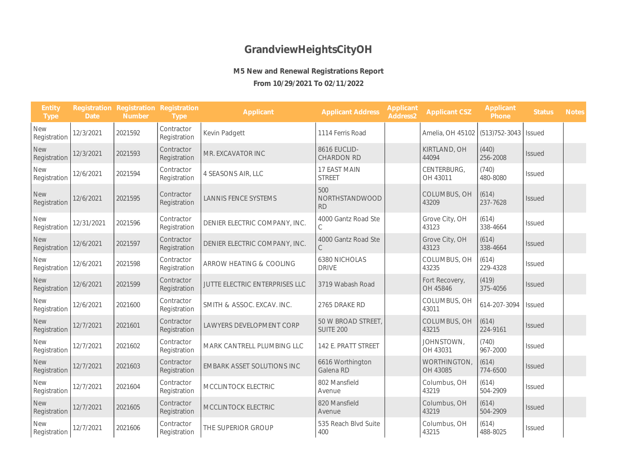| Entity<br><b>Type</b>      | Date       | Registration Registration Registration<br><b>Number</b> | <b>Type</b>                | Applicant                         | <b>Applicant Address</b>                  | Applicant<br>Address <sub>2</sub> | <b>Applicant CSZ</b>            | Applicant<br><b>Phone</b> | <b>Status</b> | <b>Notes</b> |
|----------------------------|------------|---------------------------------------------------------|----------------------------|-----------------------------------|-------------------------------------------|-----------------------------------|---------------------------------|---------------------------|---------------|--------------|
| <b>New</b><br>Registration | 12/3/2021  | 2021592                                                 | Contractor<br>Registration | Kevin Padgett                     | 1114 Ferris Road                          |                                   | Amelia, OH 45102                | (513) 752-3043 Issued     |               |              |
| <b>New</b><br>Registration | 12/3/2021  | 2021593                                                 | Contractor<br>Registration | MR. EXCAVATOR INC                 | 8616 EUCLID-<br><b>CHARDON RD</b>         |                                   | KIRTLAND, OH<br>44094           | (440)<br>256-2008         | <b>Issued</b> |              |
| <b>New</b><br>Registration | 12/6/2021  | 2021594                                                 | Contractor<br>Registration | 4 SEASONS AIR, LLC                | <b>17 EAST MAIN</b><br><b>STREET</b>      |                                   | CENTERBURG,<br>OH 43011         | (740)<br>480-8080         | <b>Issued</b> |              |
| <b>New</b><br>Registration | 12/6/2021  | 2021595                                                 | Contractor<br>Registration | <b>LANNIS FENCE SYSTEMS</b>       | 500<br><b>NORTHSTANDWOOD</b><br><b>RD</b> |                                   | COLUMBUS, OH<br>43209           | (614)<br>237-7628         | <b>Issued</b> |              |
| <b>New</b><br>Registration | 12/31/2021 | 2021596                                                 | Contractor<br>Registration | DENIER ELECTRIC COMPANY, INC.     | 4000 Gantz Road Ste<br>С                  |                                   | Grove City, OH<br>43123         | (614)<br>338-4664         | <b>Issued</b> |              |
| <b>New</b><br>Registration | 12/6/2021  | 2021597                                                 | Contractor<br>Registration | DENIER ELECTRIC COMPANY, INC.     | 4000 Gantz Road Ste<br>$\mathsf{C}$       |                                   | Grove City, OH<br>43123         | (614)<br>338-4664         | <b>Issued</b> |              |
| <b>New</b><br>Registration | 12/6/2021  | 2021598                                                 | Contractor<br>Registration | ARROW HEATING & COOLING           | 6380 NICHOLAS<br><b>DRIVE</b>             |                                   | COLUMBUS, OH<br>43235           | (614)<br>229-4328         | <b>Issued</b> |              |
| <b>New</b><br>Registration | 12/6/2021  | 2021599                                                 | Contractor<br>Registration | JUTTE ELECTRIC ENTERPRISES LLC    | 3719 Wabash Road                          |                                   | Fort Recovery,<br>OH 45846      | (419)<br>375-4056         | <b>Issued</b> |              |
| <b>New</b><br>Registration | 12/6/2021  | 2021600                                                 | Contractor<br>Registration | SMITH & ASSOC. EXCAV. INC.        | 2765 DRAKE RD                             |                                   | COLUMBUS, OH<br>43011           | 614-207-3094              | <b>Issued</b> |              |
| <b>New</b><br>Registration | 12/7/2021  | 2021601                                                 | Contractor<br>Registration | <b>LAWYERS DEVELOPMENT CORP</b>   | 50 W BROAD STREET.<br><b>SUITE 200</b>    |                                   | COLUMBUS, OH<br>43215           | (614)<br>224-9161         | <b>Issued</b> |              |
| <b>New</b><br>Registration | 12/7/2021  | 2021602                                                 | Contractor<br>Registration | MARK CANTRELL PLUMBING LLC        | 142 E. PRATT STREET                       |                                   | JOHNSTOWN,<br>OH 43031          | (740)<br>967-2000         | <b>Issued</b> |              |
| <b>New</b><br>Registration | 12/7/2021  | 2021603                                                 | Contractor<br>Registration | <b>EMBARK ASSET SOLUTIONS INC</b> | 6616 Worthington<br>Galena RD             |                                   | <b>WORTHINGTON.</b><br>OH 43085 | (614)<br>774-6500         | <b>Issued</b> |              |
| <b>New</b><br>Registration | 12/7/2021  | 2021604                                                 | Contractor<br>Registration | MCCLINTOCK ELECTRIC               | 802 Mansfield<br>Avenue                   |                                   | Columbus, OH<br>43219           | (614)<br>504-2909         | Issued        |              |
| <b>New</b><br>Registration | 12/7/2021  | 2021605                                                 | Contractor<br>Registration | MCCLINTOCK ELECTRIC               | 820 Mansfield<br>Avenue                   |                                   | Columbus, OH<br>43219           | (614)<br>504-2909         | <b>Issued</b> |              |
| <b>New</b><br>Registration | 12/7/2021  | 2021606                                                 | Contractor<br>Registration | THE SUPERIOR GROUP                | 535 Reach Blvd Suite<br>400               |                                   | Columbus, OH<br>43215           | (614)<br>488-8025         | <b>Issued</b> |              |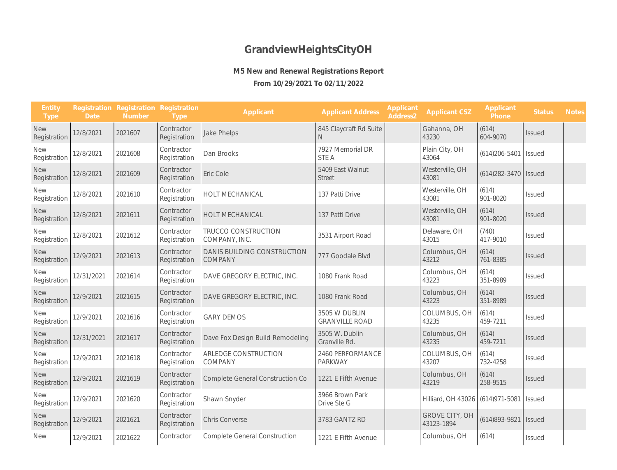| Entity<br><b>Type</b>      | <b>Date</b> | Registration Registration Registration<br>Number | Type                       | Applicant                                   | <b>Applicant Address</b>               | Applicant<br>Address2 | <b>Applicant CSZ</b>                | Applicant<br>Phone | <b>Status</b> | <b>Notes</b> |
|----------------------------|-------------|--------------------------------------------------|----------------------------|---------------------------------------------|----------------------------------------|-----------------------|-------------------------------------|--------------------|---------------|--------------|
| New<br>Registration        | 12/8/2021   | 2021607                                          | Contractor<br>Registration | <b>Jake Phelps</b>                          | 845 Claycraft Rd Suite<br>$\mathbb N$  |                       | Gahanna, OH<br>43230                | (614)<br>604-9070  | <b>Issued</b> |              |
| New<br>Registration        | 12/8/2021   | 2021608                                          | Contractor<br>Registration | Dan Brooks                                  | 7927 Memorial DR<br><b>STE A</b>       |                       | Plain City, OH<br>43064             | $(614)206 - 5401$  | <b>Issued</b> |              |
| <b>New</b><br>Registration | 12/8/2021   | 2021609                                          | Contractor<br>Registration | Eric Cole                                   | 5409 East Walnut<br><b>Street</b>      |                       | Westerville, OH<br>43081            | $(614)282 - 3470$  | <b>Issued</b> |              |
| <b>New</b><br>Registration | 12/8/2021   | 2021610                                          | Contractor<br>Registration | <b>HOLT MECHANICAL</b>                      | 137 Patti Drive                        |                       | Westerville, OH<br>43081            | (614)<br>901-8020  | Issued        |              |
| <b>New</b><br>Registration | 12/8/2021   | 2021611                                          | Contractor<br>Registration | <b>HOLT MECHANICAL</b>                      | 137 Patti Drive                        |                       | Westerville, OH<br>43081            | (614)<br>901-8020  | <b>Issued</b> |              |
| <b>New</b><br>Registration | 12/8/2021   | 2021612                                          | Contractor<br>Registration | <b>TRUCCO CONSTRUCTION</b><br>COMPANY, INC. | 3531 Airport Road                      |                       | Delaware, OH<br>43015               | (740)<br>417-9010  | <b>Issued</b> |              |
| <b>New</b><br>Registration | 12/9/2021   | 2021613                                          | Contractor<br>Registration | DANIS BUILDING CONSTRUCTION<br>COMPANY      | 777 Goodale Blvd                       |                       | Columbus, OH<br>43212               | (614)<br>761-8385  | <b>Issued</b> |              |
| New<br>Registration        | 12/31/2021  | 2021614                                          | Contractor<br>Registration | DAVE GREGORY ELECTRIC, INC.                 | 1080 Frank Road                        |                       | Columbus, OH<br>43223               | (614)<br>351-8989  | <b>Issued</b> |              |
| <b>New</b><br>Registration | 12/9/2021   | 2021615                                          | Contractor<br>Registration | DAVE GREGORY ELECTRIC, INC.                 | 1080 Frank Road                        |                       | Columbus, OH<br>43223               | (614)<br>351-8989  | <b>Issued</b> |              |
| <b>New</b><br>Registration | 12/9/2021   | 2021616                                          | Contractor<br>Registration | <b>GARY DEMOS</b>                           | 3505 W DUBLIN<br><b>GRANVILLE ROAD</b> |                       | COLUMBUS, OH<br>43235               | (614)<br>459-7211  | <b>Issued</b> |              |
| <b>New</b><br>Registration | 12/31/2021  | 2021617                                          | Contractor<br>Registration | Dave Fox Design Build Remodeling            | 3505 W. Dublin<br>Granville Rd.        |                       | Columbus, OH<br>43235               | (614)<br>459-7211  | <b>Issued</b> |              |
| <b>New</b><br>Registration | 12/9/2021   | 2021618                                          | Contractor<br>Registration | ARLEDGE CONSTRUCTION<br>COMPANY             | 2460 PERFORMANCE<br><b>PARKWAY</b>     |                       | COLUMBUS, OH<br>43207               | (614)<br>732-4258  | Issued        |              |
| <b>New</b><br>Registration | 12/9/2021   | 2021619                                          | Contractor<br>Registration | Complete General Construction Co            | 1221 E Fifth Avenue                    |                       | Columbus, OH<br>43219               | (614)<br>258-9515  | <b>Issued</b> |              |
| <b>New</b><br>Registration | 12/9/2021   | 2021620                                          | Contractor<br>Registration | Shawn Snyder                                | 3966 Brown Park<br>Drive Ste G         |                       | Hilliard, OH 43026                  | $(614)971 - 5081$  | Issued        |              |
| <b>New</b><br>Registration | 12/9/2021   | 2021621                                          | Contractor<br>Registration | <b>Chris Converse</b>                       | 3783 GANTZ RD                          |                       | <b>GROVE CITY, OH</b><br>43123-1894 | (614) 893-9821     | <b>Issued</b> |              |
| <b>New</b>                 | 12/9/2021   | 2021622                                          | Contractor                 | <b>Complete General Construction</b>        | 1221 E Fifth Avenue                    |                       | Columbus, OH                        | (614)              | Issued        |              |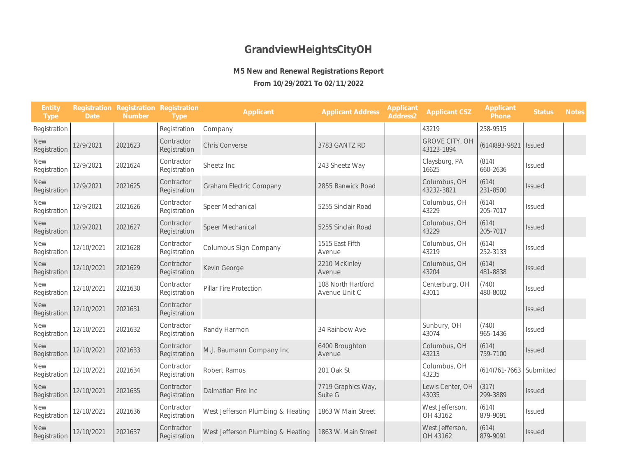| Entity<br><b>Type</b>      | <b>Date</b> | Registration Registration Registration<br>Number | <b>Type</b>                | Applicant                         | <b>Applicant Address</b>            | Applicant<br>Address <sub>2</sub> | <b>Applicant CSZ</b>                | Applicant<br>Phone       | <b>Status</b> | <b>Notes</b> |
|----------------------------|-------------|--------------------------------------------------|----------------------------|-----------------------------------|-------------------------------------|-----------------------------------|-------------------------------------|--------------------------|---------------|--------------|
| Registration               |             |                                                  | Registration               | Company                           |                                     |                                   | 43219                               | 258-9515                 |               |              |
| <b>New</b><br>Registration | 12/9/2021   | 2021623                                          | Contractor<br>Registration | <b>Chris Converse</b>             | 3783 GANTZ RD                       |                                   | <b>GROVE CITY, OH</b><br>43123-1894 | $(614)893 - 9821$        | Issued        |              |
| <b>New</b><br>Registration | 12/9/2021   | 2021624                                          | Contractor<br>Registration | Sheetz Inc                        | 243 Sheetz Way                      |                                   | Claysburg, PA<br>16625              | (814)<br>660-2636        | <b>Issued</b> |              |
| <b>New</b><br>Registration | 12/9/2021   | 2021625                                          | Contractor<br>Registration | <b>Graham Electric Company</b>    | 2855 Banwick Road                   |                                   | Columbus, OH<br>43232-3821          | (614)<br>231-8500        | <b>Issued</b> |              |
| <b>New</b><br>Registration | 12/9/2021   | 2021626                                          | Contractor<br>Registration | Speer Mechanical                  | 5255 Sinclair Road                  |                                   | Columbus, OH<br>43229               | (614)<br>205-7017        | <b>Issued</b> |              |
| New<br>Registration        | 12/9/2021   | 2021627                                          | Contractor<br>Registration | Speer Mechanical                  | 5255 Sinclair Road                  |                                   | Columbus, OH<br>43229               | (614)<br>205-7017        | <b>Issued</b> |              |
| <b>New</b><br>Registration | 12/10/2021  | 2021628                                          | Contractor<br>Registration | Columbus Sign Company             | 1515 East Fifth<br>Avenue           |                                   | Columbus, OH<br>43219               | (614)<br>252-3133        | <b>Issued</b> |              |
| <b>New</b><br>Registration | 12/10/2021  | 2021629                                          | Contractor<br>Registration | Kevin George                      | 2210 McKinley<br>Avenue             |                                   | Columbus, OH<br>43204               | (614)<br>481-8838        | <b>Issued</b> |              |
| <b>New</b><br>Registration | 12/10/2021  | 2021630                                          | Contractor<br>Registration | <b>Pillar Fire Protection</b>     | 108 North Hartford<br>Avenue Unit C |                                   | Centerburg, OH<br>43011             | (740)<br>480-8002        | <b>Issued</b> |              |
| <b>New</b><br>Registration | 12/10/2021  | 2021631                                          | Contractor<br>Registration |                                   |                                     |                                   |                                     |                          | <b>Issued</b> |              |
| <b>New</b><br>Registration | 12/10/2021  | 2021632                                          | Contractor<br>Registration | Randy Harmon                      | 34 Rainbow Ave                      |                                   | Sunbury, OH<br>43074                | (740)<br>965-1436        | <b>Issued</b> |              |
| <b>New</b><br>Registration | 12/10/2021  | 2021633                                          | Contractor<br>Registration | M.J. Baumann Company Inc          | 6400 Broughton<br>Avenue            |                                   | Columbus, OH<br>43213               | (614)<br>759-7100        | <b>Issued</b> |              |
| <b>New</b><br>Registration | 12/10/2021  | 2021634                                          | Contractor<br>Registration | Robert Ramos                      | 201 Oak St                          |                                   | Columbus, OH<br>43235               | (614) 761-7663 Submitted |               |              |
| <b>New</b><br>Registration | 12/10/2021  | 2021635                                          | Contractor<br>Registration | Dalmatian Fire Inc                | 7719 Graphics Way,<br>Suite G       |                                   | Lewis Center, OH<br>43035           | (317)<br>299-3889        | <b>Issued</b> |              |
| <b>New</b><br>Registration | 12/10/2021  | 2021636                                          | Contractor<br>Registration | West Jefferson Plumbing & Heating | 1863 W Main Street                  |                                   | West Jefferson,<br>OH 43162         | (614)<br>879-9091        | <b>Issued</b> |              |
| <b>New</b><br>Registration | 12/10/2021  | 2021637                                          | Contractor<br>Registration | West Jefferson Plumbing & Heating | 1863 W. Main Street                 |                                   | West Jefferson,<br>OH 43162         | (614)<br>879-9091        | <b>Issued</b> |              |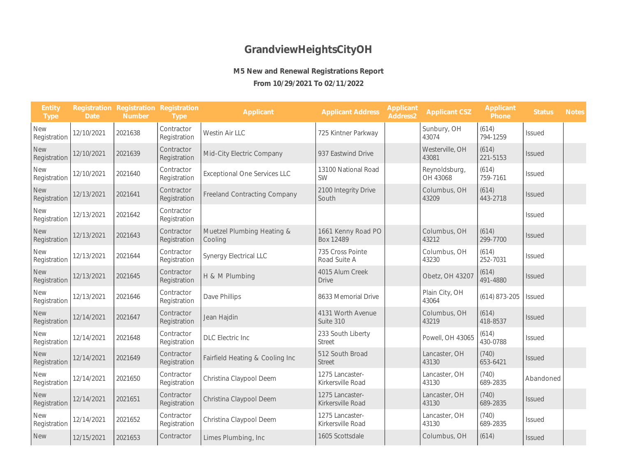| Entity<br><b>Type</b>      | <b>Date</b> | Registration Registration Registration<br><b>Number</b> | <b>Type</b>                | Applicant                             | <b>Applicant Address</b>             | Applicant<br>Address <sub>2</sub> | <b>Applicant CSZ</b>      | Applicant<br>Phone | <b>Status</b> | <b>Notes</b> |
|----------------------------|-------------|---------------------------------------------------------|----------------------------|---------------------------------------|--------------------------------------|-----------------------------------|---------------------------|--------------------|---------------|--------------|
| <b>New</b><br>Registration | 12/10/2021  | 2021638                                                 | Contractor<br>Registration | Westin Air LLC                        | 725 Kintner Parkway                  |                                   | Sunbury, OH<br>43074      | (614)<br>794-1259  | Issued        |              |
| <b>New</b><br>Registration | 12/10/2021  | 2021639                                                 | Contractor<br>Registration | Mid-City Electric Company             | 937 Eastwind Drive                   |                                   | Westerville, OH<br>43081  | (614)<br>221-5153  | <b>Issued</b> |              |
| <b>New</b><br>Registration | 12/10/2021  | 2021640                                                 | Contractor<br>Registration | <b>Exceptional One Services LLC</b>   | 13100 National Road<br><b>SW</b>     |                                   | Reynoldsburg,<br>OH 43068 | (614)<br>759-7161  | Issued        |              |
| <b>New</b><br>Registration | 12/13/2021  | 2021641                                                 | Contractor<br>Registration | Freeland Contracting Company          | 2100 Integrity Drive<br>South        |                                   | Columbus, OH<br>43209     | (614)<br>443-2718  | <b>Issued</b> |              |
| <b>New</b><br>Registration | 12/13/2021  | 2021642                                                 | Contractor<br>Registration |                                       |                                      |                                   |                           |                    | Issued        |              |
| <b>New</b><br>Registration | 12/13/2021  | 2021643                                                 | Contractor<br>Registration | Muetzel Plumbing Heating &<br>Cooling | 1661 Kenny Road PO<br>Box 12489      |                                   | Columbus, OH<br>43212     | (614)<br>299-7700  | <b>Issued</b> |              |
| <b>New</b><br>Registration | 12/13/2021  | 2021644                                                 | Contractor<br>Registration | <b>Synergy Electrical LLC</b>         | 735 Cross Pointe<br>Road Suite A     |                                   | Columbus, OH<br>43230     | (614)<br>252-7031  | <b>Issued</b> |              |
| <b>New</b><br>Registration | 12/13/2021  | 2021645                                                 | Contractor<br>Registration | H & M Plumbing                        | 4015 Alum Creek<br><b>Drive</b>      |                                   | Obetz, OH 43207           | (614)<br>491-4880  | <b>Issued</b> |              |
| <b>New</b><br>Registration | 12/13/2021  | 2021646                                                 | Contractor<br>Registration | Dave Phillips                         | 8633 Memorial Drive                  |                                   | Plain City, OH<br>43064   | $(614)$ 873-205    | <b>Issued</b> |              |
| <b>New</b><br>Registration | 12/14/2021  | 2021647                                                 | Contractor<br>Registration | Jean Hajdin                           | 4131 Worth Avenue<br>Suite 310       |                                   | Columbus, OH<br>43219     | (614)<br>418-8537  | <b>Issued</b> |              |
| <b>New</b><br>Registration | 12/14/2021  | 2021648                                                 | Contractor<br>Registration | <b>DLC</b> Electric Inc               | 233 South Liberty<br>Street          |                                   | Powell, OH 43065          | (614)<br>430-0788  | <b>Issued</b> |              |
| <b>New</b><br>Registration | 12/14/2021  | 2021649                                                 | Contractor<br>Registration | Fairfield Heating & Cooling Inc       | 512 South Broad<br><b>Street</b>     |                                   | Lancaster, OH<br>43130    | (740)<br>653-6421  | <b>Issued</b> |              |
| <b>New</b><br>Registration | 12/14/2021  | 2021650                                                 | Contractor<br>Registration | Christina Claypool Deem               | 1275 Lancaster-<br>Kirkersville Road |                                   | Lancaster, OH<br>43130    | (740)<br>689-2835  | Abandoned     |              |
| <b>New</b><br>Registration | 12/14/2021  | 2021651                                                 | Contractor<br>Registration | Christina Claypool Deem               | 1275 Lancaster-<br>Kirkersville Road |                                   | Lancaster, OH<br>43130    | (740)<br>689-2835  | <b>Issued</b> |              |
| <b>New</b><br>Registration | 12/14/2021  | 2021652                                                 | Contractor<br>Registration | Christina Claypool Deem               | 1275 Lancaster-<br>Kirkersville Road |                                   | Lancaster, OH<br>43130    | (740)<br>689-2835  | <b>Issued</b> |              |
| <b>New</b>                 | 12/15/2021  | 2021653                                                 | Contractor                 | Limes Plumbing, Inc.                  | 1605 Scottsdale                      |                                   | Columbus, OH              | (614)              | <b>Issued</b> |              |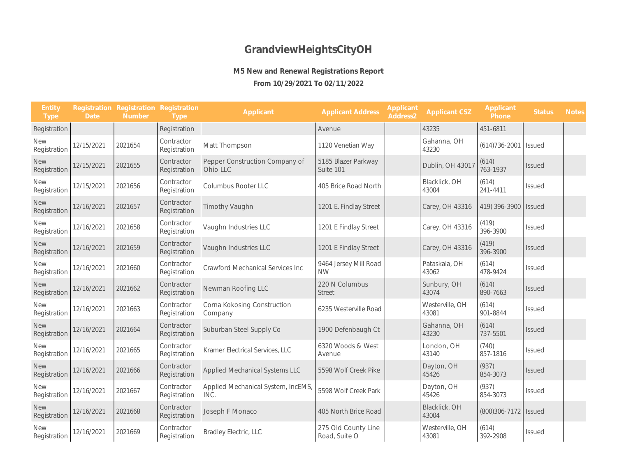| Entity<br><b>Type</b>      | <b>Date</b> | <b>Number</b> | Registration Registration Registration<br><b>Type</b> | Applicant                                  | <b>Applicant Address</b>             | Applicant<br>Address <sub>2</sub> | <b>Applicant CSZ</b>     | Applicant<br>Phone | <b>Status</b> | <b>Notes</b> |
|----------------------------|-------------|---------------|-------------------------------------------------------|--------------------------------------------|--------------------------------------|-----------------------------------|--------------------------|--------------------|---------------|--------------|
| Registration               |             |               | Registration                                          |                                            | Avenue                               |                                   | 43235                    | 451-6811           |               |              |
| <b>New</b><br>Registration | 12/15/2021  | 2021654       | Contractor<br>Registration                            | Matt Thompson                              | 1120 Venetian Way                    |                                   | Gahanna, OH<br>43230     | $(614)736 - 2001$  | Issued        |              |
| <b>New</b><br>Registration | 12/15/2021  | 2021655       | Contractor<br>Registration                            | Pepper Construction Company of<br>Ohio LLC | 5185 Blazer Parkway<br>Suite 101     |                                   | Dublin, OH 43017         | (614)<br>763-1937  | <b>Issued</b> |              |
| <b>New</b><br>Registration | 12/15/2021  | 2021656       | Contractor<br>Registration                            | <b>Columbus Rooter LLC</b>                 | 405 Brice Road North                 |                                   | Blacklick, OH<br>43004   | (614)<br>241-4411  | Issued        |              |
| <b>New</b><br>Registration | 12/16/2021  | 2021657       | Contractor<br>Registration                            | <b>Timothy Vaughn</b>                      | 1201 E. Findlay Street               |                                   | Carey, OH 43316          | 419) 396-3900      | <b>Issued</b> |              |
| <b>New</b><br>Registration | 12/16/2021  | 2021658       | Contractor<br>Registration                            | Vaughn Industries LLC                      | 1201 E Findlay Street                |                                   | Carey, OH 43316          | (419)<br>396-3900  | <b>Issued</b> |              |
| <b>New</b><br>Registration | 12/16/2021  | 2021659       | Contractor<br>Registration                            | Vaughn Industries LLC                      | 1201 E Findlay Street                |                                   | Carey, OH 43316          | (419)<br>396-3900  | <b>Issued</b> |              |
| <b>New</b><br>Registration | 12/16/2021  | 2021660       | Contractor<br>Registration                            | <b>Crawford Mechanical Services Inc</b>    | 9464 Jersey Mill Road<br><b>NW</b>   |                                   | Pataskala, OH<br>43062   | (614)<br>478-9424  | Issued        |              |
| <b>New</b><br>Registration | 12/16/2021  | 2021662       | Contractor<br>Registration                            | Newman Roofing LLC                         | 220 N Columbus<br><b>Street</b>      |                                   | Sunbury, OH<br>43074     | (614)<br>890-7663  | <b>Issued</b> |              |
| <b>New</b><br>Registration | 12/16/2021  | 2021663       | Contractor<br>Registration                            | Corna Kokosing Construction<br>Company     | 6235 Westerville Road                |                                   | Westerville, OH<br>43081 | (614)<br>901-8844  | <b>Issued</b> |              |
| <b>New</b><br>Registration | 12/16/2021  | 2021664       | Contractor<br>Registration                            | Suburban Steel Supply Co                   | 1900 Defenbaugh Ct                   |                                   | Gahanna, OH<br>43230     | (614)<br>737-5501  | <b>Issued</b> |              |
| <b>New</b><br>Registration | 12/16/2021  | 2021665       | Contractor<br>Registration                            | Kramer Electrical Services, LLC            | 6320 Woods & West<br>Avenue          |                                   | London, OH<br>43140      | (740)<br>857-1816  | Issued        |              |
| <b>New</b><br>Registration | 12/16/2021  | 2021666       | Contractor<br>Registration                            | Applied Mechanical Systems LLC             | 5598 Wolf Creek Pike                 |                                   | Dayton, OH<br>45426      | (937)<br>854-3073  | <b>Issued</b> |              |
| <b>New</b><br>Registration | 12/16/2021  | 2021667       | Contractor<br>Registration                            | Applied Mechanical System, IncEMS,<br>INC. | 5598 Wolf Creek Park                 |                                   | Dayton, OH<br>45426      | (937)<br>854-3073  | Issued        |              |
| <b>New</b><br>Registration | 12/16/2021  | 2021668       | Contractor<br>Registration                            | Joseph F Monaco                            | 405 North Brice Road                 |                                   | Blacklick, OH<br>43004   | (800) 306-7172     | <b>Issued</b> |              |
| <b>New</b><br>Registration | 12/16/2021  | 2021669       | Contractor<br>Registration                            | <b>Bradley Electric, LLC</b>               | 275 Old County Line<br>Road, Suite O |                                   | Westerville, OH<br>43081 | (614)<br>392-2908  | Issued        |              |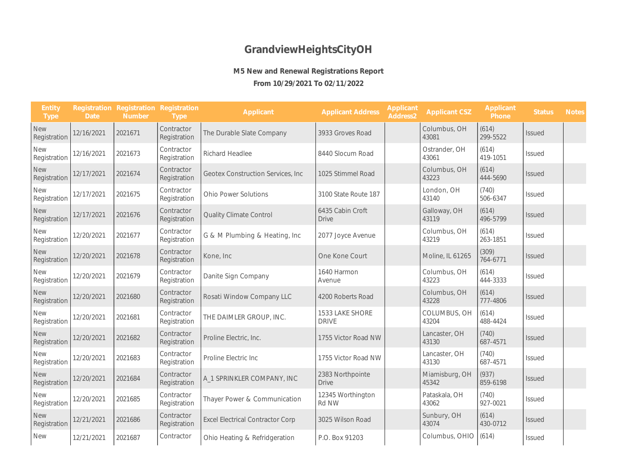| Entity<br><b>Type</b>      | <b>Date</b> | <b>Number</b> | Registration Registration Registration<br>Type | Applicant                                 | <b>Applicant Address</b>          | Applicant<br>Address <sub>2</sub> | <b>Applicant CSZ</b>    | Applicant<br>Phone: | <b>Status</b> | <b>Notes</b> |
|----------------------------|-------------|---------------|------------------------------------------------|-------------------------------------------|-----------------------------------|-----------------------------------|-------------------------|---------------------|---------------|--------------|
| <b>New</b><br>Registration | 12/16/2021  | 2021671       | Contractor<br>Registration                     | The Durable Slate Company                 | 3933 Groves Road                  |                                   | Columbus, OH<br>43081   | (614)<br>299-5522   | <b>Issued</b> |              |
| <b>New</b><br>Registration | 12/16/2021  | 2021673       | Contractor<br>Registration                     | <b>Richard Headlee</b>                    | 8440 Slocum Road                  |                                   | Ostrander, OH<br>43061  | (614)<br>419-1051   | Issued        |              |
| <b>New</b><br>Registration | 12/17/2021  | 2021674       | Contractor<br>Registration                     | <b>Geotex Construction Services, Inc.</b> | 1025 Stimmel Road                 |                                   | Columbus, OH<br>43223   | (614)<br>444-5690   | <b>Issued</b> |              |
| <b>New</b><br>Registration | 12/17/2021  | 2021675       | Contractor<br>Registration                     | <b>Ohio Power Solutions</b>               | 3100 State Route 187              |                                   | London, OH<br>43140     | (740)<br>506-6347   | Issued        |              |
| <b>New</b><br>Registration | 12/17/2021  | 2021676       | Contractor<br>Registration                     | <b>Quality Climate Control</b>            | 6435 Cabin Croft<br><b>Drive</b>  |                                   | Galloway, OH<br>43119   | (614)<br>496-5799   | <b>Issued</b> |              |
| <b>New</b><br>Registration | 12/20/2021  | 2021677       | Contractor<br>Registration                     | G & M Plumbing & Heating, Inc.            | 2077 Joyce Avenue                 |                                   | Columbus, OH<br>43219   | (614)<br>263-1851   | Issued        |              |
| <b>New</b><br>Registration | 12/20/2021  | 2021678       | Contractor<br>Registration                     | Kone, Inc                                 | One Kone Court                    |                                   | Moline, IL 61265        | (309)<br>764-6771   | <b>Issued</b> |              |
| <b>New</b><br>Registration | 12/20/2021  | 2021679       | Contractor<br>Registration                     | Danite Sign Company                       | 1640 Harmon<br>Avenue             |                                   | Columbus, OH<br>43223   | (614)<br>444-3333   | Issued        |              |
| <b>New</b><br>Registration | 12/20/2021  | 2021680       | Contractor<br>Registration                     | Rosati Window Company LLC                 | 4200 Roberts Road                 |                                   | Columbus, OH<br>43228   | (614)<br>777-4806   | <b>Issued</b> |              |
| <b>New</b><br>Registration | 12/20/2021  | 2021681       | Contractor<br>Registration                     | THE DAIMLER GROUP, INC.                   | 1533 LAKE SHORE<br><b>DRIVE</b>   |                                   | COLUMBUS, OH<br>43204   | (614)<br>488-4424   | <b>Issued</b> |              |
| <b>New</b><br>Registration | 12/20/2021  | 2021682       | Contractor<br>Registration                     | Proline Electric, Inc.                    | 1755 Victor Road NW               |                                   | Lancaster, OH<br>43130  | (740)<br>687-4571   | <b>Issued</b> |              |
| <b>New</b><br>Registration | 12/20/2021  | 2021683       | Contractor<br>Registration                     | Proline Electric Inc.                     | 1755 Victor Road NW               |                                   | Lancaster, OH<br>43130  | (740)<br>687-4571   | <b>Issued</b> |              |
| <b>New</b><br>Registration | 12/20/2021  | 2021684       | Contractor<br>Registration                     | A_1 SPRINKLER COMPANY, INC                | 2383 Northpointe<br><b>Drive</b>  |                                   | Miamisburg, OH<br>45342 | (937)<br>859-6198   | <b>Issued</b> |              |
| <b>New</b><br>Registration | 12/20/2021  | 2021685       | Contractor<br>Registration                     | Thayer Power & Communication              | 12345 Worthington<br><b>Rd NW</b> |                                   | Pataskala, OH<br>43062  | (740)<br>927-0021   | Issued        |              |
| <b>New</b><br>Registration | 12/21/2021  | 2021686       | Contractor<br>Registration                     | <b>Excel Electrical Contractor Corp</b>   | 3025 Wilson Road                  |                                   | Sunbury, OH<br>43074    | (614)<br>430-0712   | <b>Issued</b> |              |
| <b>New</b>                 | 12/21/2021  | 2021687       | Contractor                                     | Ohio Heating & Refridgeration             | P.O. Box 91203                    |                                   | Columbus, OHIO          | (614)               | <b>Issued</b> |              |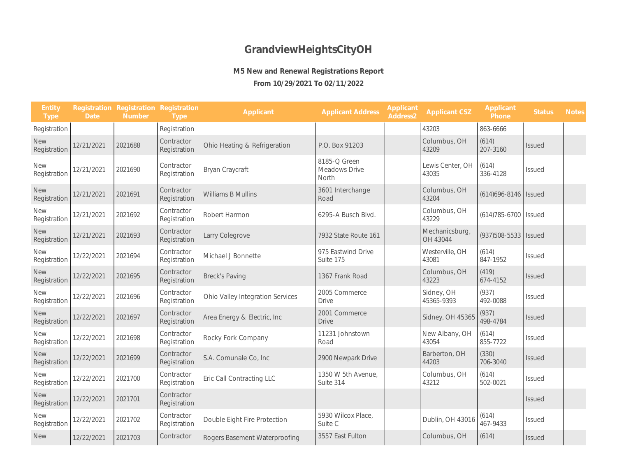| Entity<br><b>Type</b>      | <b>Date</b> | <b>Number</b> | Registration Registration Registration<br><b>Type</b> | Applicant                               | <b>Applicant Address</b>               | Applicant<br>Address <sub>2</sub> | <b>Applicant CSZ</b>      | Applicant<br>Phone | <b>Status</b> | <b>Notes</b> |
|----------------------------|-------------|---------------|-------------------------------------------------------|-----------------------------------------|----------------------------------------|-----------------------------------|---------------------------|--------------------|---------------|--------------|
| Registration               |             |               | Registration                                          |                                         |                                        |                                   | 43203                     | 863-6666           |               |              |
| <b>New</b><br>Registration | 12/21/2021  | 2021688       | Contractor<br>Registration                            | Ohio Heating & Refrigeration            | P.O. Box 91203                         |                                   | Columbus, OH<br>43209     | (614)<br>207-3160  | <b>Issued</b> |              |
| <b>New</b><br>Registration | 12/21/2021  | 2021690       | Contractor<br>Registration                            | Bryan Craycraft                         | 8185-Q Green<br>Meadows Drive<br>North |                                   | Lewis Center, OH<br>43035 | (614)<br>336-4128  | <b>Issued</b> |              |
| <b>New</b><br>Registration | 12/21/2021  | 2021691       | Contractor<br>Registration                            | <b>Williams B Mullins</b>               | 3601 Interchange<br>Road               |                                   | Columbus, OH<br>43204     | $(614)696 - 8146$  | <b>Issued</b> |              |
| <b>New</b><br>Registration | 12/21/2021  | 2021692       | Contractor<br>Registration                            | Robert Harmon                           | 6295-A Busch Blvd.                     |                                   | Columbus, OH<br>43229     | $(614)785 - 6700$  | <b>Issued</b> |              |
| <b>New</b><br>Registration | 12/21/2021  | 2021693       | Contractor<br>Registration                            | Larry Colegrove                         | 7932 State Route 161                   |                                   | Mechanicsburg<br>OH 43044 | $(937)508 - 5533$  | <b>Issued</b> |              |
| <b>New</b><br>Registration | 12/22/2021  | 2021694       | Contractor<br>Registration                            | Michael J Bonnette                      | 975 Eastwind Drive<br>Suite 175        |                                   | Westerville, OH<br>43081  | (614)<br>847-1952  | <b>Issued</b> |              |
| <b>New</b><br>Registration | 12/22/2021  | 2021695       | Contractor<br>Registration                            | <b>Breck's Paving</b>                   | 1367 Frank Road                        |                                   | Columbus, OH<br>43223     | (419)<br>674-4152  | <b>Issued</b> |              |
| <b>New</b><br>Registration | 12/22/2021  | 2021696       | Contractor<br>Registration                            | <b>Ohio Valley Integration Services</b> | 2005 Commerce<br><b>Drive</b>          |                                   | Sidney, OH<br>45365-9393  | (937)<br>492-0088  | Issued        |              |
| <b>New</b><br>Registration | 12/22/2021  | 2021697       | Contractor<br>Registration                            | Area Energy & Electric, Inc.            | 2001 Commerce<br><b>Drive</b>          |                                   | Sidney, OH 45365          | (937)<br>498-4784  | <b>Issued</b> |              |
| <b>New</b><br>Registration | 12/22/2021  | 2021698       | Contractor<br>Registration                            | Rocky Fork Company                      | 11231 Johnstown<br>Road                |                                   | New Albany, OH<br>43054   | (614)<br>855-7722  | <b>Issued</b> |              |
| <b>New</b><br>Registration | 12/22/2021  | 2021699       | Contractor<br>Registration                            | S.A. Comunale Co, Inc.                  | 2900 Newpark Drive                     |                                   | Barberton, OH<br>44203    | (330)<br>706-3040  | <b>Issued</b> |              |
| <b>New</b><br>Registration | 12/22/2021  | 2021700       | Contractor<br>Registration                            | Eric Call Contracting LLC               | 1350 W 5th Avenue,<br>Suite 314        |                                   | Columbus, OH<br>43212     | (614)<br>502-0021  | <b>Issued</b> |              |
| <b>New</b><br>Registration | 12/22/2021  | 2021701       | Contractor<br>Registration                            |                                         |                                        |                                   |                           |                    | <b>Issued</b> |              |
| <b>New</b><br>Registration | 12/22/2021  | 2021702       | Contractor<br>Registration                            | Double Eight Fire Protection            | 5930 Wilcox Place,<br>Suite C          |                                   | Dublin, OH 43016          | (614)<br>467-9433  | Issued        |              |
| <b>New</b>                 | 12/22/2021  | 2021703       | Contractor                                            | Rogers Basement Waterproofing           | 3557 East Fulton                       |                                   | Columbus, OH              | (614)              | <b>Issued</b> |              |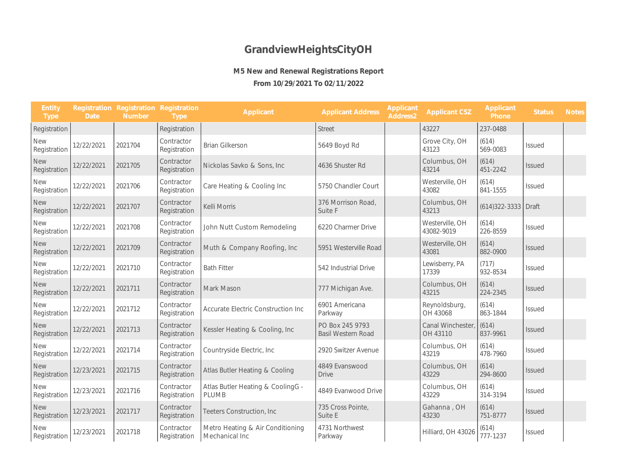| Entity<br><b>Type</b>      | <b>Date</b> | <b>Number</b> | Registration Registration Registration<br><b>Type</b> | Applicant                                          | <b>Applicant Address</b>              | Applicant<br>Address <sub>2</sub> | <b>Applicant CSZ</b>          | Applicant<br>Phone | <b>Status</b> | <b>Notes</b> |
|----------------------------|-------------|---------------|-------------------------------------------------------|----------------------------------------------------|---------------------------------------|-----------------------------------|-------------------------------|--------------------|---------------|--------------|
| Registration               |             |               | Registration                                          |                                                    | <b>Street</b>                         |                                   | 43227                         | 237-0488           |               |              |
| <b>New</b><br>Registration | 12/22/2021  | 2021704       | Contractor<br>Registration                            | <b>Brian Gilkerson</b>                             | 5649 Boyd Rd                          |                                   | Grove City, OH<br>43123       | (614)<br>569-0083  | Issued        |              |
| <b>New</b><br>Registration | 12/22/2021  | 2021705       | Contractor<br>Registration                            | Nickolas Savko & Sons, Inc.                        | 4636 Shuster Rd                       |                                   | Columbus, OH<br>43214         | (614)<br>451-2242  | <b>Issued</b> |              |
| <b>New</b><br>Registration | 12/22/2021  | 2021706       | Contractor<br>Registration                            | Care Heating & Cooling Inc                         | 5750 Chandler Court                   |                                   | Westerville, OH<br>43082      | (614)<br>841-1555  | Issued        |              |
| <b>New</b><br>Registration | 12/22/2021  | 2021707       | Contractor<br>Registration                            | Kelli Morris                                       | 376 Morrison Road,<br>Suite F         |                                   | Columbus, OH<br>43213         | $(614)322 - 3333$  | <b>Draft</b>  |              |
| <b>New</b><br>Registration | 12/22/2021  | 2021708       | Contractor<br>Registration                            | John Nutt Custom Remodeling                        | 6220 Charmer Drive                    |                                   | Westerville, OH<br>43082-9019 | (614)<br>226-8559  | <b>Issued</b> |              |
| <b>New</b><br>Registration | 12/22/2021  | 2021709       | Contractor<br>Registration                            | Muth & Company Roofing, Inc.                       | 5951 Westerville Road                 |                                   | Westerville, OH<br>43081      | (614)<br>882-0900  | <b>Issued</b> |              |
| <b>New</b><br>Registration | 12/22/2021  | 2021710       | Contractor<br>Registration                            | <b>Bath Fitter</b>                                 | 542 Industrial Drive                  |                                   | Lewisberry, PA<br>17339       | (717)<br>932-8534  | Issued        |              |
| <b>New</b><br>Registration | 12/22/2021  | 2021711       | Contractor<br>Registration                            | Mark Mason                                         | 777 Michigan Ave.                     |                                   | Columbus, OH<br>43215         | (614)<br>224-2345  | <b>Issued</b> |              |
| <b>New</b><br>Registration | 12/22/2021  | 2021712       | Contractor<br>Registration                            | Accurate Electric Construction Inc                 | 6901 Americana<br>Parkway             |                                   | Reynoldsburg,<br>OH 43068     | (614)<br>863-1844  | <b>Issued</b> |              |
| <b>New</b><br>Registration | 12/22/2021  | 2021713       | Contractor<br>Registration                            | Kessler Heating & Cooling, Inc.                    | PO Box 245 9793<br>Basil Western Road |                                   | Canal Winchester.<br>OH 43110 | (614)<br>837-9961  | <b>Issued</b> |              |
| <b>New</b><br>Registration | 12/22/2021  | 2021714       | Contractor<br>Registration                            | Countryside Electric, Inc                          | 2920 Switzer Avenue                   |                                   | Columbus, OH<br>43219         | (614)<br>478-7960  | Issued        |              |
| <b>New</b><br>Registration | 12/23/2021  | 2021715       | Contractor<br>Registration                            | Atlas Butler Heating & Cooling                     | 4849 Evanswood<br><b>Drive</b>        |                                   | Columbus, OH<br>43229         | (614)<br>294-8600  | <b>Issued</b> |              |
| <b>New</b><br>Registration | 12/23/2021  | 2021716       | Contractor<br>Registration                            | Atlas Butler Heating & CoolingG -<br>PLUMB         | 4849 Evanwood Drive                   |                                   | Columbus, OH<br>43229         | (614)<br>314-3194  | <b>Issued</b> |              |
| <b>New</b><br>Registration | 12/23/2021  | 2021717       | Contractor<br>Registration                            | <b>Teeters Construction, Inc.</b>                  | 735 Cross Pointe,<br>Suite E          |                                   | Gahanna, OH<br>43230          | (614)<br>751-8777  | <b>Issued</b> |              |
| <b>New</b><br>Registration | 12/23/2021  | 2021718       | Contractor<br>Registration                            | Metro Heating & Air Conditioning<br>Mechanical Inc | 4731 Northwest<br>Parkway             |                                   | Hilliard, OH 43026            | (614)<br>777-1237  | Issued        |              |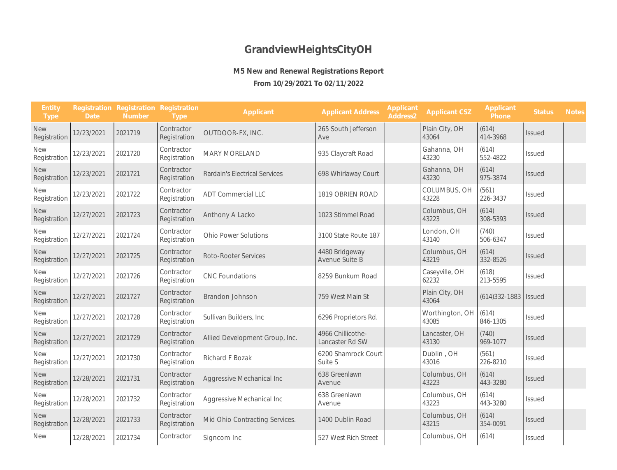| Entity<br><b>Type</b>      | <b>Date</b> | <b>Number</b> | Registration Registration Registration<br><b>Type</b> | Applicant                            | <b>Applicant Address</b>             | Applicant<br>Address2 | <b>Applicant CSZ</b>     | Applicant<br><b>Phone</b> | <b>Status</b> | <b>Notes</b> |
|----------------------------|-------------|---------------|-------------------------------------------------------|--------------------------------------|--------------------------------------|-----------------------|--------------------------|---------------------------|---------------|--------------|
| <b>New</b><br>Registration | 12/23/2021  | 2021719       | Contractor<br>Registration                            | OUTDOOR-FX, INC.                     | 265 South Jefferson<br>Ave           |                       | Plain City, OH<br>43064  | (614)<br>414-3968         | <b>Issued</b> |              |
| <b>New</b><br>Registration | 12/23/2021  | 2021720       | Contractor<br>Registration                            | <b>MARY MORELAND</b>                 | 935 Claycraft Road                   |                       | Gahanna, OH<br>43230     | (614)<br>552-4822         | Issued        |              |
| <b>New</b><br>Registration | 12/23/2021  | 2021721       | Contractor<br>Registration                            | <b>Rardain's Electrical Services</b> | 698 Whirlaway Court                  |                       | Gahanna, OH<br>43230     | (614)<br>975-3874         | <b>Issued</b> |              |
| <b>New</b><br>Registration | 12/23/2021  | 2021722       | Contractor<br>Registration                            | <b>ADT Commercial LLC</b>            | 1819 OBRIEN ROAD                     |                       | COLUMBUS, OH<br>43228    | (561)<br>226-3437         | <b>Issued</b> |              |
| <b>New</b><br>Registration | 12/27/2021  | 2021723       | Contractor<br>Registration                            | Anthony A Lacko                      | 1023 Stimmel Road                    |                       | Columbus, OH<br>43223    | (614)<br>308-5393         | <b>Issued</b> |              |
| <b>New</b><br>Registration | 12/27/2021  | 2021724       | Contractor<br>Registration                            | <b>Ohio Power Solutions</b>          | 3100 State Route 187                 |                       | London, OH<br>43140      | (740)<br>506-6347         | Issued        |              |
| <b>New</b><br>Registration | 12/27/2021  | 2021725       | Contractor<br>Registration                            | Roto-Rooter Services                 | 4480 Bridgeway<br>Avenue Suite B     |                       | Columbus, OH<br>43219    | (614)<br>332-8526         | <b>Issued</b> |              |
| New<br>Registration        | 12/27/2021  | 2021726       | Contractor<br>Registration                            | <b>CNC Foundations</b>               | 8259 Bunkum Road                     |                       | Caseyville, OH<br>62232  | (618)<br>213-5595         | <b>Issued</b> |              |
| <b>New</b><br>Registration | 12/27/2021  | 2021727       | Contractor<br>Registration                            | Brandon Johnson                      | 759 West Main St                     |                       | Plain City, OH<br>43064  | $(614)332 - 1883$         | <b>Issued</b> |              |
| <b>New</b><br>Registration | 12/27/2021  | 2021728       | Contractor<br>Registration                            | Sullivan Builders, Inc.              | 6296 Proprietors Rd.                 |                       | Worthington, OH<br>43085 | (614)<br>846-1305         | <b>Issued</b> |              |
| <b>New</b><br>Registration | 12/27/2021  | 2021729       | Contractor<br>Registration                            | Allied Development Group, Inc.       | 4966 Chillicothe-<br>Lancaster Rd SW |                       | Lancaster, OH<br>43130   | (740)<br>969-1077         | <b>Issued</b> |              |
| <b>New</b><br>Registration | 12/27/2021  | 2021730       | Contractor<br>Registration                            | <b>Richard F Bozak</b>               | 6200 Shamrock Court<br>Suite S       |                       | Dublin, OH<br>43016      | (561)<br>226-8210         | <b>Issued</b> |              |
| <b>New</b><br>Registration | 12/28/2021  | 2021731       | Contractor<br>Registration                            | Aggressive Mechanical Inc            | 638 Greenlawn<br>Avenue              |                       | Columbus, OH<br>43223    | (614)<br>443-3280         | <b>Issued</b> |              |
| <b>New</b><br>Registration | 12/28/2021  | 2021732       | Contractor<br>Registration                            | Aggressive Mechanical Inc            | 638 Greenlawn<br>Avenue              |                       | Columbus, OH<br>43223    | (614)<br>443-3280         | Issued        |              |
| <b>New</b><br>Registration | 12/28/2021  | 2021733       | Contractor<br>Registration                            | Mid Ohio Contracting Services.       | 1400 Dublin Road                     |                       | Columbus, OH<br>43215    | (614)<br>354-0091         | <b>Issued</b> |              |
| <b>New</b>                 | 12/28/2021  | 2021734       | Contractor                                            | Signcom Inc                          | 527 West Rich Street                 |                       | Columbus, OH             | (614)                     | <b>Issued</b> |              |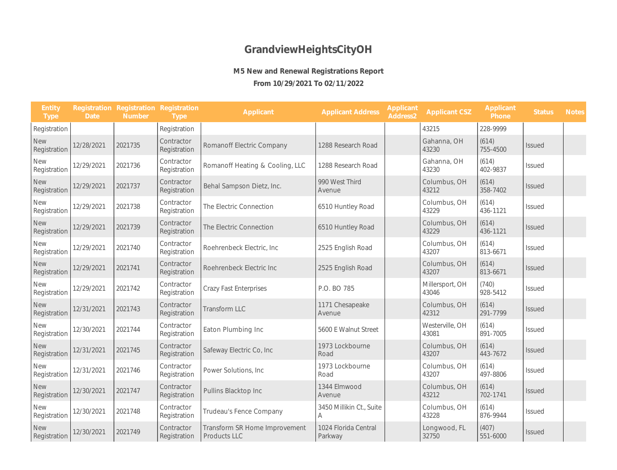| Entity<br><b>Type</b>      | <b>Date</b> | Registration Registration Registration<br><b>Number</b> | <b>Type</b>                | Applicant                                            | <b>Applicant Address</b>        | Applicant<br>Address2 | <b>Applicant CSZ</b>     | Applicant<br>Phone | <b>Status</b> | <b>Notes</b> |
|----------------------------|-------------|---------------------------------------------------------|----------------------------|------------------------------------------------------|---------------------------------|-----------------------|--------------------------|--------------------|---------------|--------------|
| Registration               |             |                                                         | Registration               |                                                      |                                 |                       | 43215                    | 228-9999           |               |              |
| <b>New</b><br>Registration | 12/28/2021  | 2021735                                                 | Contractor<br>Registration | Romanoff Electric Company                            | 1288 Research Road              |                       | Gahanna, OH<br>43230     | (614)<br>755-4500  | <b>Issued</b> |              |
| <b>New</b><br>Registration | 12/29/2021  | 2021736                                                 | Contractor<br>Registration | Romanoff Heating & Cooling, LLC                      | 1288 Research Road              |                       | Gahanna, OH<br>43230     | (614)<br>402-9837  | Issued        |              |
| <b>New</b><br>Registration | 12/29/2021  | 2021737                                                 | Contractor<br>Registration | Behal Sampson Dietz, Inc.                            | 990 West Third<br>Avenue        |                       | Columbus, OH<br>43212    | (614)<br>358-7402  | <b>Issued</b> |              |
| <b>New</b><br>Registration | 12/29/2021  | 2021738                                                 | Contractor<br>Registration | The Electric Connection                              | 6510 Huntley Road               |                       | Columbus, OH<br>43229    | (614)<br>436-1121  | <b>Issued</b> |              |
| <b>New</b><br>Registration | 12/29/2021  | 2021739                                                 | Contractor<br>Registration | The Electric Connection                              | 6510 Huntley Road               |                       | Columbus, OH<br>43229    | (614)<br>436-1121  | <b>Issued</b> |              |
| <b>New</b><br>Registration | 12/29/2021  | 2021740                                                 | Contractor<br>Registration | Roehrenbeck Electric, Inc.                           | 2525 English Road               |                       | Columbus, OH<br>43207    | (614)<br>813-6671  | <b>Issued</b> |              |
| <b>New</b><br>Registration | 12/29/2021  | 2021741                                                 | Contractor<br>Registration | Roehrenbeck Electric Inc                             | 2525 English Road               |                       | Columbus, OH<br>43207    | (614)<br>813-6671  | <b>Issued</b> |              |
| <b>New</b><br>Registration | 12/29/2021  | 2021742                                                 | Contractor<br>Registration | Crazy Fast Enterprises                               | P.O. BO 785                     |                       | Millersport, OH<br>43046 | (740)<br>928-5412  | <b>Issued</b> |              |
| New<br>Registration        | 12/31/2021  | 2021743                                                 | Contractor<br>Registration | <b>Transform LLC</b>                                 | 1171 Chesapeake<br>Avenue       |                       | Columbus, OH<br>42312    | (614)<br>291-7799  | <b>Issued</b> |              |
| <b>New</b><br>Registration | 12/30/2021  | 2021744                                                 | Contractor<br>Registration | Eaton Plumbing Inc                                   | 5600 E Walnut Street            |                       | Westerville, OH<br>43081 | (614)<br>891-7005  | Issued        |              |
| <b>New</b><br>Registration | 12/31/2021  | 2021745                                                 | Contractor<br>Registration | Safeway Electric Co, Inc                             | 1973 Lockbourne<br>Road         |                       | Columbus, OH<br>43207    | (614)<br>443-7672  | <b>Issued</b> |              |
| <b>New</b><br>Registration | 12/31/2021  | 2021746                                                 | Contractor<br>Registration | Power Solutions, Inc                                 | 1973 Lockbourne<br>Road         |                       | Columbus, OH<br>43207    | (614)<br>497-8806  | Issued        |              |
| <b>New</b><br>Registration | 12/30/2021  | 2021747                                                 | Contractor<br>Registration | Pullins Blacktop Inc                                 | 1344 Elmwood<br>Avenue          |                       | Columbus, OH<br>43212    | (614)<br>702-1741  | <b>Issued</b> |              |
| <b>New</b><br>Registration | 12/30/2021  | 2021748                                                 | Contractor<br>Registration | Trudeau's Fence Company                              | 3450 Millikin Ct., Suite<br>A   |                       | Columbus, OH<br>43228    | (614)<br>876-9944  | <b>Issued</b> |              |
| <b>New</b><br>Registration | 12/30/2021  | 2021749                                                 | Contractor<br>Registration | Transform SR Home Improvement<br><b>Products LLC</b> | 1024 Florida Central<br>Parkway |                       | Longwood, FL<br>32750    | (407)<br>551-6000  | <b>Issued</b> |              |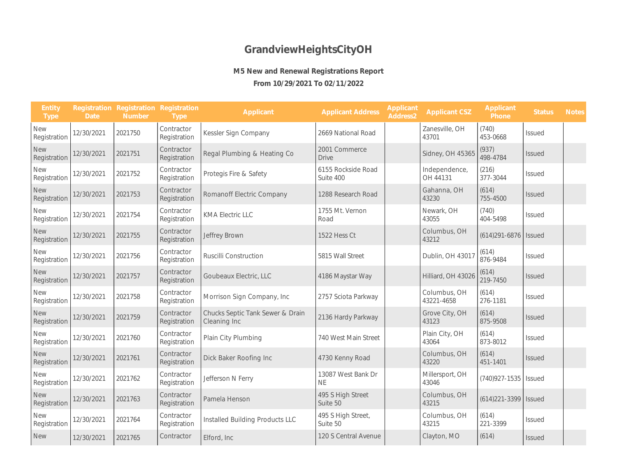| Entity<br><b>Type</b>      | Date       | <b>Number</b> | Registration Registration Registration<br><b>Type</b> | Applicant                                        | <b>Applicant Address</b>        | Applicant<br>Address <sub>2</sub> | <b>Applicant CSZ</b>       | Applicant<br>Phone | <b>Status</b> | <b>Notes</b> |
|----------------------------|------------|---------------|-------------------------------------------------------|--------------------------------------------------|---------------------------------|-----------------------------------|----------------------------|--------------------|---------------|--------------|
| New<br>Registration        | 12/30/2021 | 2021750       | Contractor<br>Registration                            | Kessler Sign Company                             | 2669 National Road              |                                   | Zanesville, OH<br>43701    | (740)<br>453-0668  | Issued        |              |
| <b>New</b><br>Registration | 12/30/2021 | 2021751       | Contractor<br>Registration                            | Regal Plumbing & Heating Co                      | 2001 Commerce<br><b>Drive</b>   |                                   | Sidney, OH 45365           | (937)<br>498-4784  | <b>Issued</b> |              |
| New<br>Registration        | 12/30/2021 | 2021752       | Contractor<br>Registration                            | Protegis Fire & Safety                           | 6155 Rockside Road<br>Suite 400 |                                   | Independence,<br>OH 44131  | (216)<br>377-3044  | Issued        |              |
| <b>New</b><br>Registration | 12/30/2021 | 2021753       | Contractor<br>Registration                            | Romanoff Electric Company                        | 1288 Research Road              |                                   | Gahanna, OH<br>43230       | (614)<br>755-4500  | <b>Issued</b> |              |
| <b>New</b><br>Registration | 12/30/2021 | 2021754       | Contractor<br>Registration                            | <b>KMA Electric LLC</b>                          | 1755 Mt. Vernon<br>Road         |                                   | Newark, OH<br>43055        | (740)<br>404-5498  | Issued        |              |
| <b>New</b><br>Registration | 12/30/2021 | 2021755       | Contractor<br>Registration                            | Jeffrey Brown                                    | 1522 Hess Ct                    |                                   | Columbus, OH<br>43212      | $(614)291 - 6876$  | <b>Issued</b> |              |
| <b>New</b><br>Registration | 12/30/2021 | 2021756       | Contractor<br>Registration                            | <b>Ruscilli Construction</b>                     | 5815 Wall Street                |                                   | Dublin, OH 43017           | (614)<br>876-9484  | Issued        |              |
| <b>New</b><br>Registration | 12/30/2021 | 2021757       | Contractor<br>Registration                            | Goubeaux Electric, LLC                           | 4186 Maystar Way                |                                   | Hilliard, OH 43026         | (614)<br>219-7450  | <b>Issued</b> |              |
| <b>New</b><br>Registration | 12/30/2021 | 2021758       | Contractor<br>Registration                            | Morrison Sign Company, Inc.                      | 2757 Sciota Parkway             |                                   | Columbus, OH<br>43221-4658 | (614)<br>276-1181  | <b>Issued</b> |              |
| <b>New</b><br>Registration | 12/30/2021 | 2021759       | Contractor<br>Registration                            | Chucks Septic Tank Sewer & Drain<br>Cleaning Inc | 2136 Hardy Parkway              |                                   | Grove City, OH<br>43123    | (614)<br>875-9508  | <b>Issued</b> |              |
| <b>New</b><br>Registration | 12/30/2021 | 2021760       | Contractor<br>Registration                            | Plain City Plumbing                              | 740 West Main Street            |                                   | Plain City, OH<br>43064    | (614)<br>873-8012  | <b>Issued</b> |              |
| <b>New</b><br>Registration | 12/30/2021 | 2021761       | Contractor<br>Registration                            | Dick Baker Roofing Inc                           | 4730 Kenny Road                 |                                   | Columbus, OH<br>43220      | (614)<br>451-1401  | <b>Issued</b> |              |
| <b>New</b><br>Registration | 12/30/2021 | 2021762       | Contractor<br>Registration                            | Jefferson N Ferry                                | 13087 West Bank Dr<br><b>NE</b> |                                   | Millersport, OH<br>43046   | $(740)927 - 1535$  | <b>Issued</b> |              |
| <b>New</b><br>Registration | 12/30/2021 | 2021763       | Contractor<br>Registration                            | Pamela Henson                                    | 495 S High Street<br>Suite 50   |                                   | Columbus, OH<br>43215      | $(614)221 - 3399$  | <b>Issued</b> |              |
| <b>New</b><br>Registration | 12/30/2021 | 2021764       | Contractor<br>Registration                            | Installed Building Products LLC                  | 495 S High Street,<br>Suite 50  |                                   | Columbus, OH<br>43215      | (614)<br>221-3399  | Issued        |              |
| <b>New</b>                 | 12/30/2021 | 2021765       | Contractor                                            | Elford, Inc.                                     | 120 S Central Avenue            |                                   | Clayton, MO                | (614)              | <b>Issued</b> |              |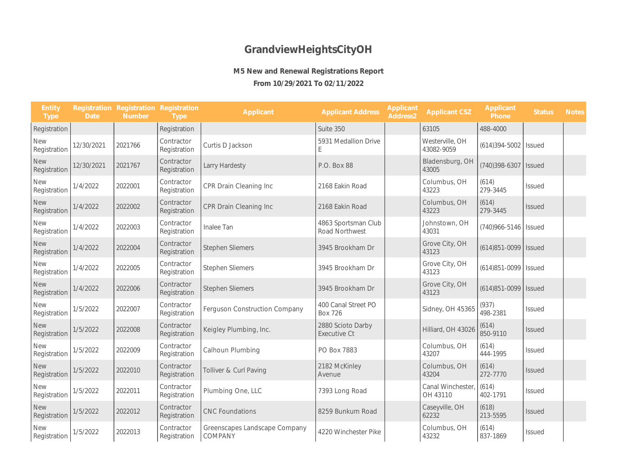| Entity<br><b>Type</b>      | <b>Date</b> | <b>Number</b> | Registration Registration Registration<br><b>Type</b> | Applicant                                | <b>Applicant Address</b>                     | Applicant<br>Address2 | <b>Applicant CSZ</b>          | Applicant<br>Phone | <b>Status</b> | <b>Notes</b> |
|----------------------------|-------------|---------------|-------------------------------------------------------|------------------------------------------|----------------------------------------------|-----------------------|-------------------------------|--------------------|---------------|--------------|
| Registration               |             |               | Registration                                          |                                          | Suite 350                                    |                       | 63105                         | 488-4000           |               |              |
| <b>New</b><br>Registration | 12/30/2021  | 2021766       | Contractor<br>Registration                            | Curtis D Jackson                         | 5931 Medallion Drive                         |                       | Westerville, OH<br>43082-9059 | $(614)394 - 5002$  | <b>Issued</b> |              |
| <b>New</b><br>Registration | 12/30/2021  | 2021767       | Contractor<br>Registration                            | Larry Hardesty                           | P.O. Box 88                                  |                       | Bladensburg, OH<br>43005      | (740)398-6307      | <b>Issued</b> |              |
| <b>New</b><br>Registration | 1/4/2022    | 2022001       | Contractor<br>Registration                            | CPR Drain Cleaning Inc                   | 2168 Eakin Road                              |                       | Columbus, OH<br>43223         | (614)<br>279-3445  | Issued        |              |
| <b>New</b><br>Registration | 1/4/2022    | 2022002       | Contractor<br>Registration                            | CPR Drain Cleaning Inc                   | 2168 Eakin Road                              |                       | Columbus, OH<br>43223         | (614)<br>279-3445  | <b>Issued</b> |              |
| <b>New</b><br>Registration | 1/4/2022    | 2022003       | Contractor<br>Registration                            | Inalee Tan                               | 4863 Sportsman Club<br><b>Road Northwest</b> |                       | Johnstown, OH<br>43031        | (740) 966-5146     | <b>Issued</b> |              |
| <b>New</b><br>Registration | 1/4/2022    | 2022004       | Contractor<br>Registration                            | <b>Stephen Sliemers</b>                  | 3945 Brookham Dr                             |                       | Grove City, OH<br>43123       | $(614)851 - 0099$  | <b>Issued</b> |              |
| <b>New</b><br>Registration | 1/4/2022    | 2022005       | Contractor<br>Registration                            | <b>Stephen Sliemers</b>                  | 3945 Brookham Dr                             |                       | Grove City, OH<br>43123       | $(614)851 - 0099$  | Issued        |              |
| <b>New</b><br>Registration | 1/4/2022    | 2022006       | Contractor<br>Registration                            | <b>Stephen Sliemers</b>                  | 3945 Brookham Dr                             |                       | Grove City, OH<br>43123       | $(614)851 - 0099$  | <b>Issued</b> |              |
| <b>New</b><br>Registration | 1/5/2022    | 2022007       | Contractor<br>Registration                            | Ferguson Construction Company            | 400 Canal Street PO<br><b>Box 726</b>        |                       | Sidney, OH 45365              | (937)<br>498-2381  | Issued        |              |
| <b>New</b><br>Registration | 1/5/2022    | 2022008       | Contractor<br>Registration                            | Keigley Plumbing, Inc.                   | 2880 Scioto Darby<br>Executive Ct            |                       | Hilliard, OH 43026            | (614)<br>850-9110  | <b>Issued</b> |              |
| <b>New</b><br>Registration | 1/5/2022    | 2022009       | Contractor<br>Registration                            | Calhoun Plumbing                         | PO Box 7883                                  |                       | Columbus, OH<br>43207         | (614)<br>444-1995  | Issued        |              |
| <b>New</b><br>Registration | 1/5/2022    | 2022010       | Contractor<br>Registration                            | Tolliver & Curl Paving                   | 2182 McKinley<br>Avenue                      |                       | Columbus, OH<br>43204         | (614)<br>272-7770  | <b>Issued</b> |              |
| <b>New</b><br>Registration | 1/5/2022    | 2022011       | Contractor<br>Registration                            | Plumbing One, LLC                        | 7393 Long Road                               |                       | Canal Winchester,<br>OH 43110 | (614)<br>402-1791  | Issued        |              |
| <b>New</b><br>Registration | 1/5/2022    | 2022012       | Contractor<br>Registration                            | <b>CNC Foundations</b>                   | 8259 Bunkum Road                             |                       | Caseyville, OH<br>62232       | (618)<br>213-5595  | <b>Issued</b> |              |
| <b>New</b><br>Registration | 1/5/2022    | 2022013       | Contractor<br>Registration                            | Greenscapes Landscape Company<br>COMPANY | 4220 Winchester Pike                         |                       | Columbus, OH<br>43232         | (614)<br>837-1869  | Issued        |              |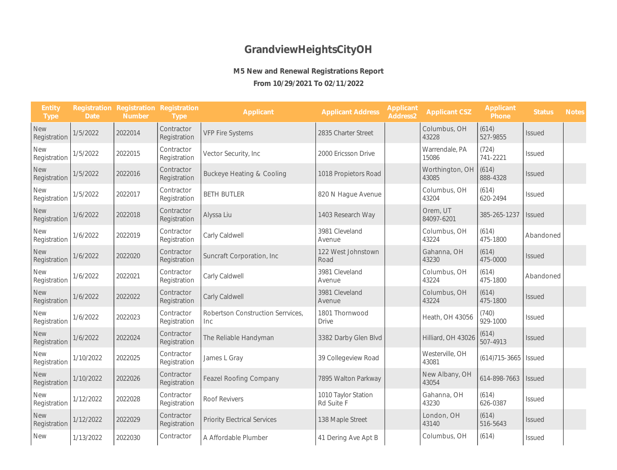| Entity<br><b>Type</b>      | <b>Date</b> | Registration Registration Registration<br><b>Number</b> | <b>Type</b>                | Applicant                                | <b>Applicant Address</b>          | Applicant<br>Address <sub>2</sub> | <b>Applicant CSZ</b>     | Applicant<br>Phone | <b>Status</b> | <b>Notes</b> |
|----------------------------|-------------|---------------------------------------------------------|----------------------------|------------------------------------------|-----------------------------------|-----------------------------------|--------------------------|--------------------|---------------|--------------|
| <b>New</b><br>Registration | 1/5/2022    | 2022014                                                 | Contractor<br>Registration | <b>VFP Fire Systems</b>                  | 2835 Charter Street               |                                   | Columbus, OH<br>43228    | (614)<br>527-9855  | <b>Issued</b> |              |
| <b>New</b><br>Registration | 1/5/2022    | 2022015                                                 | Contractor<br>Registration | Vector Security, Inc.                    | 2000 Ericsson Drive               |                                   | Warrendale, PA<br>15086  | (724)<br>741-2221  | Issued        |              |
| <b>New</b><br>Registration | 1/5/2022    | 2022016                                                 | Contractor<br>Registration | <b>Buckeye Heating &amp; Cooling</b>     | 1018 Propietors Road              |                                   | Worthington, OH<br>43085 | (614)<br>888-4328  | <b>Issued</b> |              |
| New<br>Registration        | 1/5/2022    | 2022017                                                 | Contractor<br>Registration | <b>BETH BUTLER</b>                       | 820 N Hague Avenue                |                                   | Columbus, OH<br>43204    | (614)<br>620-2494  | <b>Issued</b> |              |
| <b>New</b><br>Registration | 1/6/2022    | 2022018                                                 | Contractor<br>Registration | Alyssa Liu                               | 1403 Research Way                 |                                   | Orem, UT<br>84097-6201   | 385-265-1237       | <b>Issued</b> |              |
| <b>New</b><br>Registration | 1/6/2022    | 2022019                                                 | Contractor<br>Registration | Carly Caldwell                           | 3981 Cleveland<br>Avenue          |                                   | Columbus, OH<br>43224    | (614)<br>475-1800  | Abandoned     |              |
| <b>New</b><br>Registration | 1/6/2022    | 2022020                                                 | Contractor<br>Registration | Suncraft Corporation, Inc.               | 122 West Johnstown<br>Road        |                                   | Gahanna, OH<br>43230     | (614)<br>475-0000  | <b>Issued</b> |              |
| <b>New</b><br>Registration | 1/6/2022    | 2022021                                                 | Contractor<br>Registration | Carly Caldwell                           | 3981 Cleveland<br>Avenue          |                                   | Columbus, OH<br>43224    | (614)<br>475-1800  | Abandoned     |              |
| <b>New</b><br>Registration | 1/6/2022    | 2022022                                                 | Contractor<br>Registration | Carly Caldwell                           | 3981 Cleveland<br>Avenue          |                                   | Columbus, OH<br>43224    | (614)<br>475-1800  | <b>Issued</b> |              |
| <b>New</b><br>Registration | 1/6/2022    | 2022023                                                 | Contractor<br>Registration | Robertson Construction Serrvices,<br>Inc | 1801 Thornwood<br><b>Drive</b>    |                                   | Heath, OH 43056          | (740)<br>929-1000  | <b>Issued</b> |              |
| <b>New</b><br>Registration | 1/6/2022    | 2022024                                                 | Contractor<br>Registration | The Reliable Handyman                    | 3382 Darby Glen Blvd              |                                   | Hilliard, OH 43026       | (614)<br>507-4913  | <b>Issued</b> |              |
| <b>New</b><br>Registration | 1/10/2022   | 2022025                                                 | Contractor<br>Registration | James L Gray                             | 39 Collegeview Road               |                                   | Westerville, OH<br>43081 | $(614)715 - 3665$  | <b>Issued</b> |              |
| <b>New</b><br>Registration | 1/10/2022   | 2022026                                                 | Contractor<br>Registration | <b>Feazel Roofing Company</b>            | 7895 Walton Parkway               |                                   | New Albany, OH<br>43054  | 614-898-7663       | <b>Issued</b> |              |
| <b>New</b><br>Registration | 1/12/2022   | 2022028                                                 | Contractor<br>Registration | <b>Roof Revivers</b>                     | 1010 Taylor Station<br>Rd Suite F |                                   | Gahanna, OH<br>43230     | (614)<br>626-0387  | Issued        |              |
| <b>New</b><br>Registration | 1/12/2022   | 2022029                                                 | Contractor<br>Registration | <b>Priority Electrical Services</b>      | 138 Maple Street                  |                                   | London, OH<br>43140      | (614)<br>516-5643  | <b>Issued</b> |              |
| <b>New</b>                 | 1/13/2022   | 2022030                                                 | Contractor                 | A Affordable Plumber                     | 41 Dering Ave Apt B               |                                   | Columbus, OH             | (614)              | Issued        |              |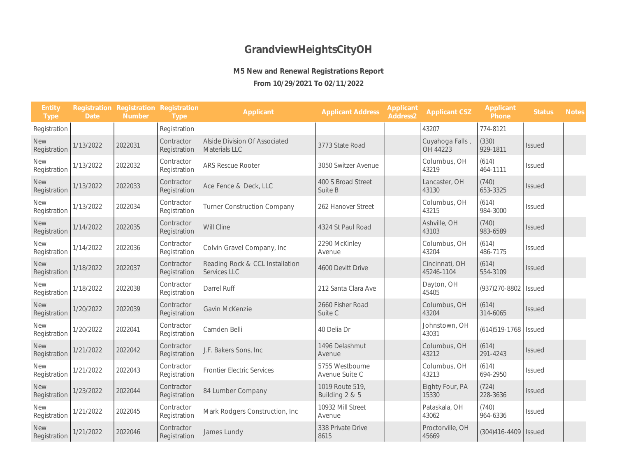| Entity<br><b>Type</b>      | Date      | <b>Number</b> | Registration Registration Registration<br><b>Type</b> | Applicant                                             | <b>Applicant Address</b>          | Applicant<br>Address2 | <b>Applicant CSZ</b>         | Applicant<br>Phone | <b>Status</b> | <b>Notes</b> |
|----------------------------|-----------|---------------|-------------------------------------------------------|-------------------------------------------------------|-----------------------------------|-----------------------|------------------------------|--------------------|---------------|--------------|
| Registration               |           |               | Registration                                          |                                                       |                                   |                       | 43207                        | 774-8121           |               |              |
| <b>New</b><br>Registration | 1/13/2022 | 2022031       | Contractor<br>Registration                            | Alside Division Of Associated<br><b>Materials LLC</b> | 3773 State Road                   |                       | Cuyahoga Falls<br>OH 44223   | (330)<br>929-1811  | <b>Issued</b> |              |
| <b>New</b><br>Registration | 1/13/2022 | 2022032       | Contractor<br>Registration                            | <b>ARS Rescue Rooter</b>                              | 3050 Switzer Avenue               |                       | Columbus, OH<br>43219        | (614)<br>464-1111  | Issued        |              |
| <b>New</b><br>Registration | 1/13/2022 | 2022033       | Contractor<br>Registration                            | Ace Fence & Deck, LLC                                 | 400 S Broad Street<br>Suite B     |                       | Lancaster, OH<br>43130       | (740)<br>653-3325  | <b>Issued</b> |              |
| <b>New</b><br>Registration | 1/13/2022 | 2022034       | Contractor<br>Registration                            | <b>Turner Construction Company</b>                    | 262 Hanover Street                |                       | Columbus, OH<br>43215        | (614)<br>984-3000  | <b>Issued</b> |              |
| <b>New</b><br>Registration | 1/14/2022 | 2022035       | Contractor<br>Registration                            | Will Cline                                            | 4324 St Paul Road                 |                       | Ashville, OH<br>43103        | (740)<br>983-6589  | <b>Issued</b> |              |
| <b>New</b><br>Registration | 1/14/2022 | 2022036       | Contractor<br>Registration                            | Colvin Gravel Company, Inc.                           | 2290 McKinley<br>Avenue           |                       | Columbus, OH<br>43204        | (614)<br>486-7175  | <b>Issued</b> |              |
| <b>New</b><br>Registration | 1/18/2022 | 2022037       | Contractor<br>Registration                            | Reading Rock & CCL Installation<br>Services LLC       | 4600 Devitt Drive                 |                       | Cincinnati, OH<br>45246-1104 | (614)<br>554-3109  | <b>Issued</b> |              |
| <b>New</b><br>Registration | 1/18/2022 | 2022038       | Contractor<br>Registration                            | Darrel Ruff                                           | 212 Santa Clara Ave               |                       | Dayton, OH<br>45405          | (937) 270-8802     | <b>Issued</b> |              |
| <b>New</b><br>Registration | 1/20/2022 | 2022039       | Contractor<br>Registration                            | Gavin McKenzie                                        | 2660 Fisher Road<br>Suite C       |                       | Columbus, OH<br>43204        | (614)<br>314-6065  | <b>Issued</b> |              |
| <b>New</b><br>Registration | 1/20/2022 | 2022041       | Contractor<br>Registration                            | Camden Belli                                          | 40 Delia Dr                       |                       | Johnstown, OH<br>43031       | $(614)519-1768$    | Issued        |              |
| <b>New</b><br>Registration | 1/21/2022 | 2022042       | Contractor<br>Registration                            | J.F. Bakers Sons, Inc                                 | 1496 Delashmut<br>Avenue          |                       | Columbus, OH<br>43212        | (614)<br>291-4243  | <b>Issued</b> |              |
| <b>New</b><br>Registration | 1/21/2022 | 2022043       | Contractor<br>Registration                            | <b>Frontier Electric Services</b>                     | 5755 Westbourne<br>Avenue Suite C |                       | Columbus, OH<br>43213        | (614)<br>694-2950  | Issued        |              |
| <b>New</b><br>Registration | 1/23/2022 | 2022044       | Contractor<br>Registration                            | 84 Lumber Company                                     | 1019 Route 519,<br>Building 2 & 5 |                       | Eighty Four, PA<br>15330     | (724)<br>228-3636  | <b>Issued</b> |              |
| <b>New</b><br>Registration | 1/21/2022 | 2022045       | Contractor<br>Registration                            | Mark Rodgers Construction, Inc.                       | 10932 Mill Street<br>Avenue       |                       | Pataskala, OH<br>43062       | (740)<br>964-6336  | <b>Issued</b> |              |
| <b>New</b><br>Registration | 1/21/2022 | 2022046       | Contractor<br>Registration                            | James Lundy                                           | 338 Private Drive<br>8615         |                       | Proctorville, OH<br>45669    | $(304)416 - 4409$  | <b>Issued</b> |              |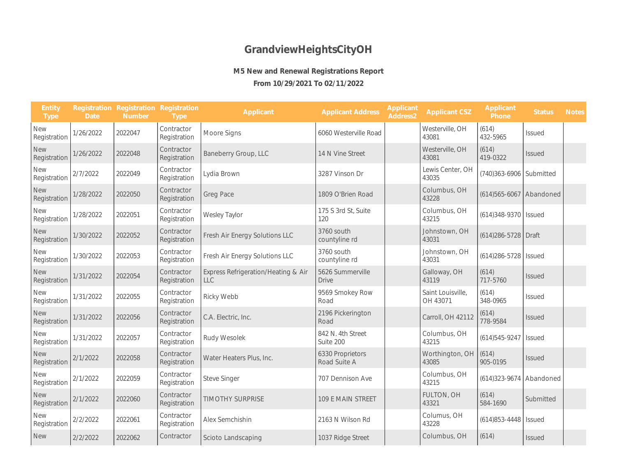| Entity<br><b>Type</b>      | <b>Date</b> | Registration Registration Registration<br>Number | <b>Type</b>                | Applicant                                  | <b>Applicant Address</b>         | Applicant<br>Address <sub>2</sub> | <b>Applicant CSZ</b>          | Applicant<br><b>Phone</b> | <b>Status</b> | <b>Notes</b> |
|----------------------------|-------------|--------------------------------------------------|----------------------------|--------------------------------------------|----------------------------------|-----------------------------------|-------------------------------|---------------------------|---------------|--------------|
| <b>New</b><br>Registration | 1/26/2022   | 2022047                                          | Contractor<br>Registration | Moore Signs                                | 6060 Westerville Road            |                                   | Westerville, OH<br>43081      | (614)<br>432-5965         | <b>Issued</b> |              |
| <b>New</b><br>Registration | 1/26/2022   | 2022048                                          | Contractor<br>Registration | Baneberry Group, LLC                       | 14 N Vine Street                 |                                   | Westerville, OH<br>43081      | (614)<br>419-0322         | <b>Issued</b> |              |
| <b>New</b><br>Registration | 2/7/2022    | 2022049                                          | Contractor<br>Registration | Lydia Brown                                | 3287 Vinson Dr                   |                                   | Lewis Center, OH<br>43035     | (740)363-6906 Submitted   |               |              |
| <b>New</b><br>Registration | 1/28/2022   | 2022050                                          | Contractor<br>Registration | Greg Pace                                  | 1809 O'Brien Road                |                                   | Columbus, OH<br>43228         | $(614)565 - 6067$         | Abandoned     |              |
| <b>New</b><br>Registration | 1/28/2022   | 2022051                                          | Contractor<br>Registration | Wesley Taylor                              | 175 S 3rd St, Suite<br>120       |                                   | Columbus, OH<br>43215         | (614) 348-9370            | Issued        |              |
| <b>New</b><br>Registration | 1/30/2022   | 2022052                                          | Contractor<br>Registration | Fresh Air Energy Solutions LLC             | 3760 south<br>countyline rd      |                                   | Johnstown, OH<br>43031        | $(614)286 - 5728$         | <b>Draft</b>  |              |
| <b>New</b><br>Registration | 1/30/2022   | 2022053                                          | Contractor<br>Registration | Fresh Air Energy Solutions LLC             | 3760 south<br>countyline rd      |                                   | Johnstown, OH<br>43031        | $(614)286 - 5728$         | <b>Issued</b> |              |
| New<br>Registration        | 1/31/2022   | 2022054                                          | Contractor<br>Registration | Express Refrigeration/Heating & Air<br>LLC | 5626 Summerville<br><b>Drive</b> |                                   | Galloway, OH<br>43119         | (614)<br>717-5760         | <b>Issued</b> |              |
| <b>New</b><br>Registration | 1/31/2022   | 2022055                                          | Contractor<br>Registration | Ricky Webb                                 | 9569 Smokey Row<br>Road          |                                   | Saint Louisville,<br>OH 43071 | (614)<br>348-0965         | <b>Issued</b> |              |
| <b>New</b><br>Registration | 1/31/2022   | 2022056                                          | Contractor<br>Registration | C.A. Electric, Inc.                        | 2196 Pickerington<br>Road        |                                   | Carroll, OH 42112             | (614)<br>778-9584         | <b>Issued</b> |              |
| <b>New</b><br>Registration | 1/31/2022   | 2022057                                          | Contractor<br>Registration | <b>Rudy Wesolek</b>                        | 842 N. 4th Street<br>Suite 200   |                                   | Columbus, OH<br>43215         | $(614)545 - 9247$         | Issued        |              |
| <b>New</b><br>Registration | 2/1/2022    | 2022058                                          | Contractor<br>Registration | Water Heaters Plus, Inc.                   | 6330 Proprietors<br>Road Suite A |                                   | Worthington, OH<br>43085      | (614)<br>905-0195         | <b>Issued</b> |              |
| <b>New</b><br>Registration | 2/1/2022    | 2022059                                          | Contractor<br>Registration | <b>Steve Singer</b>                        | 707 Dennison Ave                 |                                   | Columbus, OH<br>43215         | (614) 323-9674 Abandoned  |               |              |
| <b>New</b><br>Registration | 2/1/2022    | 2022060                                          | Contractor<br>Registration | <b>TIMOTHY SURPRISE</b>                    | 109 E MAIN STREET                |                                   | FULTON, OH<br>43321           | (614)<br>584-1690         | Submitted     |              |
| <b>New</b><br>Registration | 2/2/2022    | 2022061                                          | Contractor<br>Registration | Alex Semchishin                            | 2163 N Wilson Rd                 |                                   | Columus, OH<br>43228          | $(614)853 - 4448$         | <b>Issued</b> |              |
| <b>New</b>                 | 2/2/2022    | 2022062                                          | Contractor                 | Scioto Landscaping                         | 1037 Ridge Street                |                                   | Columbus, OH                  | (614)                     | <b>Issued</b> |              |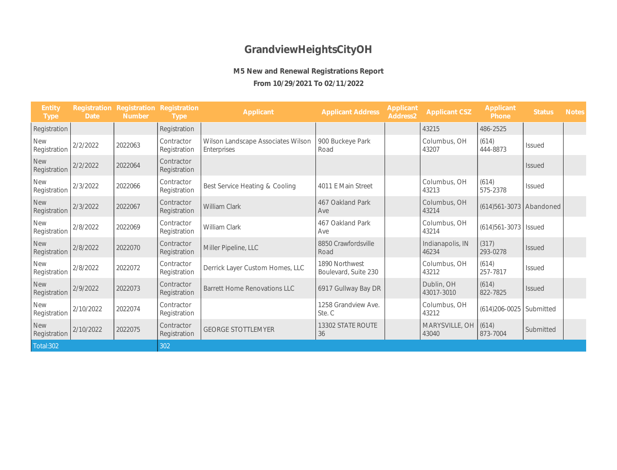### **M5 New and Renewal Registrations Report**

#### **From 10/29/2021 To 02/11/2022**

| Entity<br><b>Type</b>      | Date      | Registration Registration Registration<br><b>Number</b> | <b>Type</b>                | Applicant                                         | <b>Applicant Address</b>               | Applicant<br>Address <sub>2</sub> | <b>Applicant CSZ</b>          | Applicant<br>Phone       | <b>Status</b> | <b>Notes</b> |
|----------------------------|-----------|---------------------------------------------------------|----------------------------|---------------------------------------------------|----------------------------------------|-----------------------------------|-------------------------------|--------------------------|---------------|--------------|
| Registration               |           |                                                         | Registration               |                                                   |                                        |                                   | 43215                         | 486-2525                 |               |              |
| <b>New</b><br>Registration | 2/2/2022  | 2022063                                                 | Contractor<br>Registration | Wilson Landscape Associates Wilson<br>Enterprises | 900 Buckeye Park<br>Road               |                                   | Columbus, OH<br>43207         | (614)<br>444-8873        | <b>Issued</b> |              |
| <b>New</b><br>Registration | 2/2/2022  | 2022064                                                 | Contractor<br>Registration |                                                   |                                        |                                   |                               |                          | <b>Issued</b> |              |
| <b>New</b><br>Registration | 2/3/2022  | 2022066                                                 | Contractor<br>Registration | Best Service Heating & Cooling                    | 4011 E Main Street                     |                                   | Columbus, OH<br>43213         | (614)<br>575-2378        | <b>Issued</b> |              |
| <b>New</b><br>Registration | 2/3/2022  | 2022067                                                 | Contractor<br>Registration | <b>William Clark</b>                              | 467 Oakland Park<br>Ave                |                                   | Columbus, OH<br>43214         | (614)561-3073 Abandoned  |               |              |
| <b>New</b><br>Registration | 2/8/2022  | 2022069                                                 | Contractor<br>Registration | William Clark                                     | 467 Oakland Park<br>Ave                |                                   | Columbus, OH<br>43214         | (614) 561-3073 Issued    |               |              |
| <b>New</b><br>Registration | 2/8/2022  | 2022070                                                 | Contractor<br>Registration | Miller Pipeline, LLC                              | 8850 Crawfordsville<br>Road            |                                   | Indianapolis, IN<br>46234     | (317)<br>293-0278        | <b>Issued</b> |              |
| <b>New</b><br>Registration | 2/8/2022  | 2022072                                                 | Contractor<br>Registration | Derrick Layer Custom Homes, LLC                   | 1890 Northwest<br>Boulevard, Suite 230 |                                   | Columbus, OH<br>43212         | (614)<br>257-7817        | <b>Issued</b> |              |
| <b>New</b><br>Registration | 2/9/2022  | 2022073                                                 | Contractor<br>Registration | <b>Barrett Home Renovations LLC</b>               | 6917 Gullway Bay DR                    |                                   | Dublin, OH<br>43017-3010      | (614)<br>822-7825        | <b>Issued</b> |              |
| <b>New</b><br>Registration | 2/10/2022 | 2022074                                                 | Contractor<br>Registration |                                                   | 1258 Grandview Ave.<br>Ste. C          |                                   | Columbus, OH<br>43212         | (614) 206-0025 Submitted |               |              |
| <b>New</b><br>Registration | 2/10/2022 | 2022075                                                 | Contractor<br>Registration | <b>GEORGE STOTTLEMYER</b>                         | 13302 STATE ROUTE<br>36                |                                   | MARYSVILLE, OH (614)<br>43040 | 873-7004                 | Submitted     |              |
| <b>Total:302</b>           |           |                                                         | 302                        |                                                   |                                        |                                   |                               |                          |               |              |
|                            |           |                                                         |                            |                                                   |                                        |                                   |                               |                          |               |              |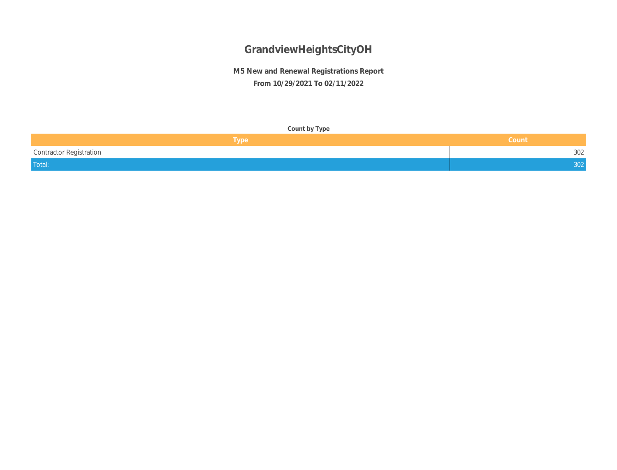| Count by Type           |       |
|-------------------------|-------|
| Type                    | Count |
| Contractor Registration | 302   |
| Total:                  |       |